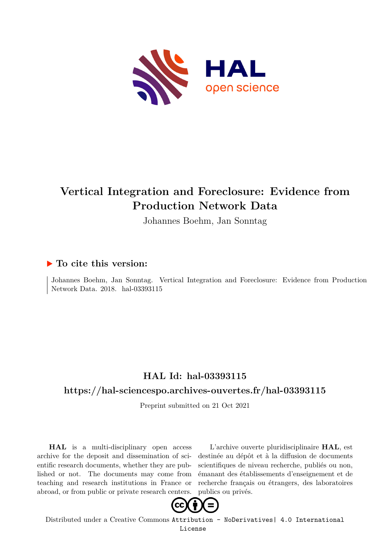

# **Vertical Integration and Foreclosure: Evidence from Production Network Data**

Johannes Boehm, Jan Sonntag

## **To cite this version:**

Johannes Boehm, Jan Sonntag. Vertical Integration and Foreclosure: Evidence from Production Network Data. 2018. hal-03393115

# **HAL Id: hal-03393115**

## **<https://hal-sciencespo.archives-ouvertes.fr/hal-03393115>**

Preprint submitted on 21 Oct 2021

**HAL** is a multi-disciplinary open access archive for the deposit and dissemination of scientific research documents, whether they are published or not. The documents may come from teaching and research institutions in France or abroad, or from public or private research centers.

L'archive ouverte pluridisciplinaire **HAL**, est destinée au dépôt et à la diffusion de documents scientifiques de niveau recherche, publiés ou non, émanant des établissements d'enseignement et de recherche français ou étrangers, des laboratoires publics ou privés.



Distributed under a Creative Commons [Attribution - NoDerivatives| 4.0 International](http://creativecommons.org/licenses/by-nd/4.0/) [License](http://creativecommons.org/licenses/by-nd/4.0/)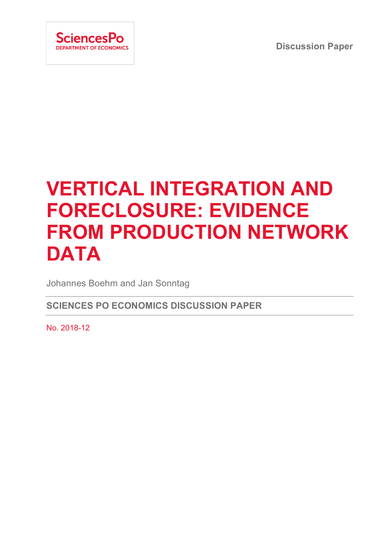**Discussion Paper**



# **VERTICAL INTEGRATION AND FORECLOSURE: EVIDENCE FROM PRODUCTION NETWORK DATA**

Johannes Boehm and Jan Sonntag

**SCIENCES PO ECONOMICS DISCUSSION PAPER**

No. 2018-12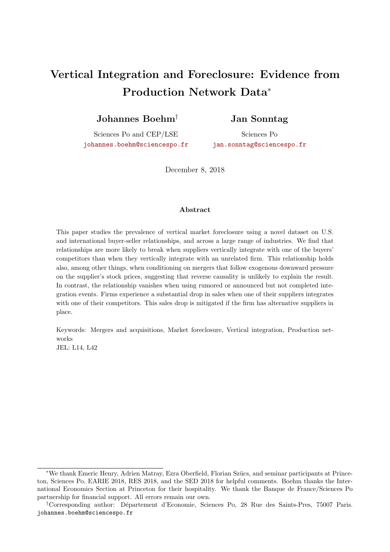# Vertical Integration and Foreclosure: Evidence from Production Network Data<sup>∗</sup>

Johannes Boehm†

## Jan Sonntag

Sciences Po and CEP/LSE [johannes.boehm@sciencespo.fr](mailto:johannes.boehm@sciencespo.fr)

Sciences Po [jan.sonntag@sciencespo.fr](mailto:jan.sonntag@sciencespo.fr)

December 8, 2018

#### Abstract

This paper studies the prevalence of vertical market foreclosure using a novel dataset on U.S. and international buyer-seller relationships, and across a large range of industries. We find that relationships are more likely to break when suppliers vertically integrate with one of the buyers' competitors than when they vertically integrate with an unrelated firm. This relationship holds also, among other things, when conditioning on mergers that follow exogenous downward pressure on the supplier's stock prices, suggesting that reverse causality is unlikely to explain the result. In contrast, the relationship vanishes when using rumored or announced but not completed integration events. Firms experience a substantial drop in sales when one of their suppliers integrates with one of their competitors. This sales drop is mitigated if the firm has alternative suppliers in place.

Keywords: Mergers and acquisitions, Market foreclosure, Vertical integration, Production networks

JEL: L14, L42

<sup>∗</sup>We thank Emeric Henry, Adrien Matray, Ezra Oberfield, Florian Sz¨ucs, and seminar participants at Princeton, Sciences Po, EARIE 2018, RES 2018, and the SED 2018 for helpful comments. Boehm thanks the International Economics Section at Princeton for their hospitality. We thank the Banque de France/Sciences Po partnership for financial support. All errors remain our own.

<sup>&</sup>lt;sup>†</sup>Corresponding author: Département d'Economie, Sciences Po, 28 Rue des Saints-Pres, 75007 Paris. johannes.boehm@sciencespo.fr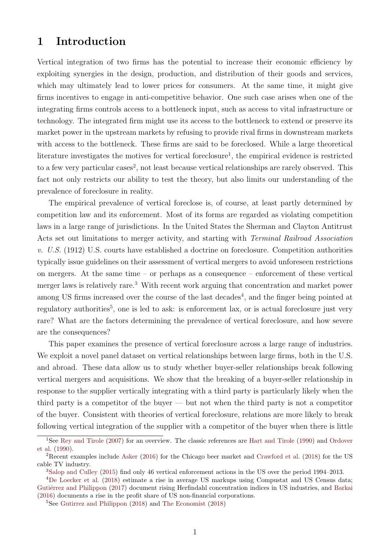## 1 Introduction

Vertical integration of two firms has the potential to increase their economic efficiency by exploiting synergies in the design, production, and distribution of their goods and services, which may ultimately lead to lower prices for consumers. At the same time, it might give firms incentives to engage in anti-competitive behavior. One such case arises when one of the integrating firms controls access to a bottleneck input, such as access to vital infrastructure or technology. The integrated firm might use its access to the bottleneck to extend or preserve its market power in the upstream markets by refusing to provide rival firms in downstream markets with access to the bottleneck. These firms are said to be foreclosed. While a large theoretical literature investigates the motives for vertical foreclosure<sup>1</sup>, the empirical evidence is restricted to a few very particular cases<sup>2</sup>, not least because vertical relationships are rarely observed. This fact not only restricts our ability to test the theory, but also limits our understanding of the prevalence of foreclosure in reality.

The empirical prevalence of vertical foreclose is, of course, at least partly determined by competition law and its enforcement. Most of its forms are regarded as violating competition laws in a large range of jurisdictions. In the United States the Sherman and Clayton Antitrust Acts set out limitations to merger activity, and starting with Terminal Railroad Association v. U.S. (1912) U.S. courts have established a doctrine on foreclosure. Competition authorities typically issue guidelines on their assessment of vertical mergers to avoid unforeseen restrictions on mergers. At the same time – or perhaps as a consequence – enforcement of these vertical merger laws is relatively rare.3 With recent work arguing that concentration and market power among US firms increased over the course of the last decades<sup>4</sup>, and the finger being pointed at regulatory authorities<sup>5</sup>, one is led to ask: is enforcement lax, or is actual foreclosure just very rare? What are the factors determining the prevalence of vertical foreclosure, and how severe are the consequences?

This paper examines the presence of vertical foreclosure across a large range of industries. We exploit a novel panel dataset on vertical relationships between large firms, both in the U.S. and abroad. These data allow us to study whether buyer-seller relationships break following vertical mergers and acquisitions. We show that the breaking of a buyer-seller relationship in response to the supplier vertically integrating with a third party is particularly likely when the third party is a competitor of the buyer — but not when the third party is not a competitor of the buyer. Consistent with theories of vertical foreclosure, relations are more likely to break following vertical integration of the supplier with a competitor of the buyer when there is little

<sup>&</sup>lt;sup>1</sup>See Rey and Tirole (2007) for an overview. The classic references are Hart and Tirole (1990) and Ordover et al. (1990).

<sup>2</sup>Recent examples include Asker (2016) for the Chicago beer market and Crawford et al. (2018) for the US cable TV industry.

<sup>3</sup>Salop and Culley (2015) find only 46 vertical enforcement actions in the US over the period 1994–2013.

<sup>4</sup>De Loecker et al. (2018) estimate a rise in average US markups using Compustat and US Census data; Gutiérrez and Philippon (2017) document rising Herfindahl concentration indices in US industries, and Barkai (2016) documents a rise in the profit share of US non-financial corporations.

<sup>5</sup>See Gutirrez and Philippon (2018) and The Economist (2018)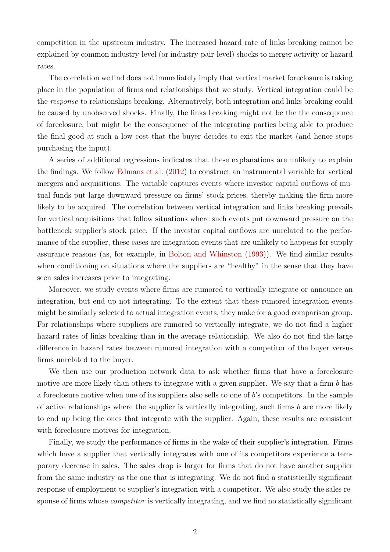competition in the upstream industry. The increased hazard rate of links breaking cannot be explained by common industry-level (or industry-pair-level) shocks to merger activity or hazard rates.

The correlation we find does not immediately imply that vertical market foreclosure is taking place in the population of firms and relationships that we study. Vertical integration could be the response to relationships breaking. Alternatively, both integration and links breaking could be caused by unobserved shocks. Finally, the links breaking might not be the the consequence of foreclosure, but might be the consequence of the integrating parties being able to produce the final good at such a low cost that the buyer decides to exit the market (and hence stops purchasing the input).

A series of additional regressions indicates that these explanations are unlikely to explain the findings. We follow Edmans et al. (2012) to construct an instrumental variable for vertical mergers and acquisitions. The variable captures events where investor capital outflows of mutual funds put large downward pressure on firms' stock prices, thereby making the firm more likely to be acquired. The correlation between vertical integration and links breaking prevails for vertical acquisitions that follow situations where such events put downward pressure on the bottleneck supplier's stock price. If the investor capital outflows are unrelated to the performance of the supplier, these cases are integration events that are unlikely to happens for supply assurance reasons (as, for example, in Bolton and Whinston (1993)). We find similar results when conditioning on situations where the suppliers are "healthy" in the sense that they have seen sales increases prior to integrating.

Moreover, we study events where firms are rumored to vertically integrate or announce an integration, but end up not integrating. To the extent that these rumored integration events might be similarly selected to actual integration events, they make for a good comparison group. For relationships where suppliers are rumored to vertically integrate, we do not find a higher hazard rates of links breaking than in the average relationship. We also do not find the large difference in hazard rates between rumored integration with a competitor of the buyer versus firms unrelated to the buyer.

We then use our production network data to ask whether firms that have a foreclosure motive are more likely than others to integrate with a given supplier. We say that a firm b has a foreclosure motive when one of its suppliers also sells to one of b's competitors. In the sample of active relationships where the supplier is vertically integrating, such firms  $b$  are more likely to end up being the ones that integrate with the supplier. Again, these results are consistent with foreclosure motives for integration.

Finally, we study the performance of firms in the wake of their supplier's integration. Firms which have a supplier that vertically integrates with one of its competitors experience a temporary decrease in sales. The sales drop is larger for firms that do not have another supplier from the same industry as the one that is integrating. We do not find a statistically significant response of employment to supplier's integration with a competitor. We also study the sales response of firms whose *competitor* is vertically integrating, and we find no statistically significant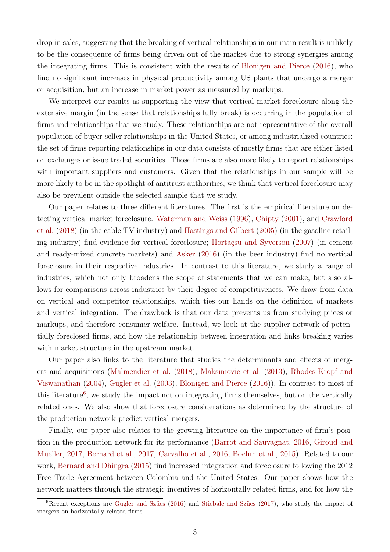drop in sales, suggesting that the breaking of vertical relationships in our main result is unlikely to be the consequence of firms being driven out of the market due to strong synergies among the integrating firms. This is consistent with the results of Blonigen and Pierce (2016), who find no significant increases in physical productivity among US plants that undergo a merger or acquisition, but an increase in market power as measured by markups.

We interpret our results as supporting the view that vertical market foreclosure along the extensive margin (in the sense that relationships fully break) is occurring in the population of firms and relationships that we study. These relationships are not representative of the overall population of buyer-seller relationships in the United States, or among industrialized countries: the set of firms reporting relationships in our data consists of mostly firms that are either listed on exchanges or issue traded securities. Those firms are also more likely to report relationships with important suppliers and customers. Given that the relationships in our sample will be more likely to be in the spotlight of antitrust authorities, we think that vertical foreclosure may also be prevalent outside the selected sample that we study.

Our paper relates to three different literatures. The first is the empirical literature on detecting vertical market foreclosure. Waterman and Weiss (1996), Chipty (2001), and Crawford et al. (2018) (in the cable TV industry) and Hastings and Gilbert (2005) (in the gasoline retailing industry) find evidence for vertical foreclosure; Hortaçsu and Syverson (2007) (in cement and ready-mixed concrete markets) and Asker (2016) (in the beer industry) find no vertical foreclosure in their respective industries. In contrast to this literature, we study a range of industries, which not only broadens the scope of statements that we can make, but also allows for comparisons across industries by their degree of competitiveness. We draw from data on vertical and competitor relationships, which ties our hands on the definition of markets and vertical integration. The drawback is that our data prevents us from studying prices or markups, and therefore consumer welfare. Instead, we look at the supplier network of potentially foreclosed firms, and how the relationship between integration and links breaking varies with market structure in the upstream market.

Our paper also links to the literature that studies the determinants and effects of mergers and acquisitions (Malmendier et al. (2018), Maksimovic et al. (2013), Rhodes-Kropf and Viswanathan (2004), Gugler et al. (2003), Blonigen and Pierce (2016)). In contrast to most of this literature<sup>6</sup>, we study the impact not on integrating firms themselves, but on the vertically related ones. We also show that foreclosure considerations as determined by the structure of the production network predict vertical mergers.

Finally, our paper also relates to the growing literature on the importance of firm's position in the production network for its performance (Barrot and Sauvagnat, 2016, Giroud and Mueller, 2017, Bernard et al., 2017, Carvalho et al., 2016, Boehm et al., 2015). Related to our work, Bernard and Dhingra (2015) find increased integration and foreclosure following the 2012 Free Trade Agreement between Colombia and the United States. Our paper shows how the network matters through the strategic incentives of horizontally related firms, and for how the

 ${}^{6}$ Recent exceptions are Gugler and Szücs (2016) and Stiebale and Szücs (2017), who study the impact of mergers on horizontally related firms.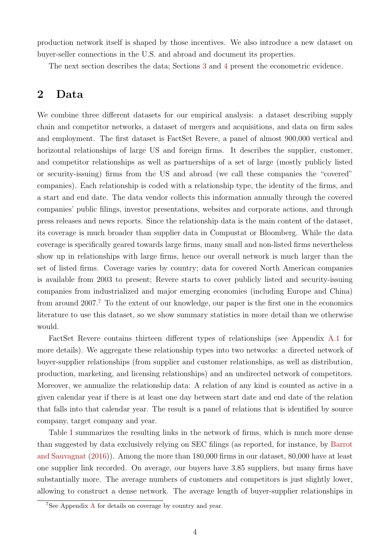production network itself is shaped by those incentives. We also introduce a new dataset on buyer-seller connections in the U.S. and abroad and document its properties.

The next section describes the data; Sections 3 and 4 present the econometric evidence.

## 2 Data

We combine three different datasets for our empirical analysis: a dataset describing supply chain and competitor networks, a dataset of mergers and acquisitions, and data on firm sales and employment. The first dataset is FactSet Revere, a panel of almost 900,000 vertical and horizontal relationships of large US and foreign firms. It describes the supplier, customer, and competitor relationships as well as partnerships of a set of large (mostly publicly listed or security-issuing) firms from the US and abroad (we call these companies the "covered" companies). Each relationship is coded with a relationship type, the identity of the firms, and a start and end date. The data vendor collects this information annually through the covered companies' public filings, investor presentations, websites and corporate actions, and through press releases and news reports. Since the relationship data is the main content of the dataset, its coverage is much broader than supplier data in Compustat or Bloomberg. While the data coverage is specifically geared towards large firms, many small and non-listed firms nevertheless show up in relationships with large firms, hence our overall network is much larger than the set of listed firms. Coverage varies by country; data for covered North American companies is available from 2003 to present; Revere starts to cover publicly listed and security-issuing companies from industrialized and major emerging economies (including Europe and China) from around  $2007<sup>7</sup>$  To the extent of our knowledge, our paper is the first one in the economics literature to use this dataset, so we show summary statistics in more detail than we otherwise would.

FactSet Revere contains thirteen different types of relationships (see Appendix A.1 for more details). We aggregate these relationship types into two networks: a directed network of buyer-supplier relationships (from supplier and customer relationships, as well as distribution, production, marketing, and licensing relationships) and an undirected network of competitors. Moreover, we annualize the relationship data: A relation of any kind is counted as active in a given calendar year if there is at least one day between start date and end date of the relation that falls into that calendar year. The result is a panel of relations that is identified by source company, target company and year.

Table I summarizes the resulting links in the network of firms, which is much more dense than suggested by data exclusively relying on SEC filings (as reported, for instance, by Barrot and Sauvagnat (2016)). Among the more than 180,000 firms in our dataset, 80,000 have at least one supplier link recorded. On average, our buyers have 3.85 suppliers, but many firms have substantially more. The average numbers of customers and competitors is just slightly lower, allowing to construct a dense network. The average length of buyer-supplier relationships in

<sup>7</sup>See Appendix A for details on coverage by country and year.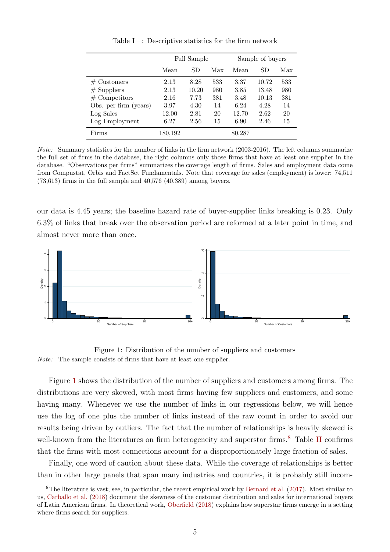|                       |         | Full Sample |     |        | Sample of buyers |     |  |
|-----------------------|---------|-------------|-----|--------|------------------|-----|--|
|                       | Mean    | SD          | Max | Mean   | SD               | Max |  |
| $#$ Customers         | 2.13    | 8.28        | 533 | 3.37   | 10.72            | 533 |  |
| $#$ Suppliers         | 2.13    | 10.20       | 980 | 3.85   | 13.48            | 980 |  |
| $#$ Competitors       | 2.16    | 7.73        | 381 | 3.48   | 10.13            | 381 |  |
| Obs. per firm (years) | 3.97    | 4.30        | 14  | 6.24   | 4.28             | 14  |  |
| Log Sales             | 12.00   | 2.81        | 20  | 12.70  | 2.62             | 20  |  |
| Log Employment        | 6.27    | 2.56        | 15  | 6.90   | 2.46             | 15  |  |
| Firms                 | 180,192 |             |     | 80,287 |                  |     |  |

Table I—: Descriptive statistics for the firm network

Note: Summary statistics for the number of links in the firm network (2003-2016). The left columns summarize the full set of firms in the database, the right columns only those firms that have at least one supplier in the database. "Observations per firms" summarizes the coverage length of firms. Sales and employment data come from Compustat, Orbis and FactSet Fundamentals. Note that coverage for sales (employment) is lower: 74,511  $(73,613)$  firms in the full sample and  $40,576$   $(40,389)$  among buyers.

our data is 4.45 years; the baseline hazard rate of buyer-supplier links breaking is 0.23. Only 6.3% of links that break over the observation period are reformed at a later point in time, and almost never more than once.



Figure 1: Distribution of the number of suppliers and customers Note: The sample consists of firms that have at least one supplier.

Figure 1 shows the distribution of the number of suppliers and customers among firms. The distributions are very skewed, with most firms having few suppliers and customers, and some having many. Whenever we use the number of links in our regressions below, we will hence use the log of one plus the number of links instead of the raw count in order to avoid our results being driven by outliers. The fact that the number of relationships is heavily skewed is well-known from the literatures on firm heterogeneity and superstar firms.<sup>8</sup> Table II confirms that the firms with most connections account for a disproportionately large fraction of sales.

Finally, one word of caution about these data. While the coverage of relationships is better than in other large panels that span many industries and countries, it is probably still incom-

<sup>&</sup>lt;sup>8</sup>The literature is vast; see, in particular, the recent empirical work by Bernard et al.  $(2017)$ . Most similar to us, Carballo et al. (2018) document the skewness of the customer distribution and sales for international buyers of Latin American firms. In theoretical work, Oberfield (2018) explains how superstar firms emerge in a setting where firms search for suppliers.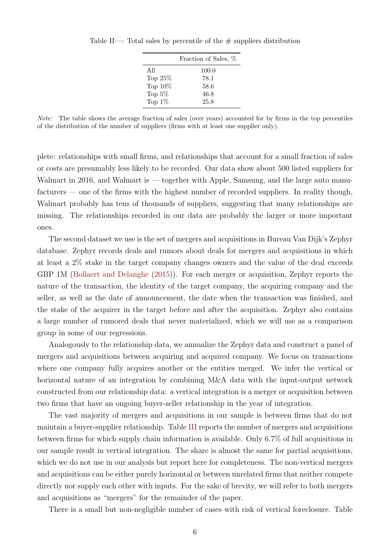|            | Fraction of Sales, % |
|------------|----------------------|
| A 11       | 100.0                |
| Top $25\%$ | 78.1                 |
| Top 10%    | 58.6                 |
| Top $5\%$  | 46.8                 |
| Top $1\%$  | 25.8                 |

Table II—: Total sales by percentile of the  $\#$  suppliers distribution

Note: The table shows the average fraction of sales (over years) accounted for by firms in the top percentiles of the distribution of the number of suppliers (firms with at least one supplier only).

plete: relationships with small firms, and relationships that account for a small fraction of sales or costs are presumably less likely to be recorded. Our data show about 500 listed suppliers for Walmart in 2016, and Walmart is — together with Apple, Samsung, and the large auto manufacturers — one of the firms with the highest number of recorded suppliers. In reality though, Walmart probably has tens of thousands of suppliers, suggesting that many relationships are missing. The relationships recorded in our data are probably the larger or more important ones.

The second dataset we use is the set of mergers and acquisitions in Bureau Van Dijk's Zephyr database. Zephyr records deals and rumors about deals for mergers and acquisitions in which at least a 2% stake in the target company changes owners and the value of the deal exceeds GBP 1M (Bollaert and Delanghe (2015)). For each merger or acquisition, Zephyr reports the nature of the transaction, the identity of the target company, the acquiring company and the seller, as well as the date of announcement, the date when the transaction was finished, and the stake of the acquirer in the target before and after the acquisition. Zephyr also contains a large number of rumored deals that never materialized, which we will use as a comparison group in some of our regressions.

Analogously to the relationship data, we annualize the Zephyr data and construct a panel of mergers and acquisitions between acquiring and acquired company. We focus on transactions where one company fully acquires another or the entities merged. We infer the vertical or horizontal nature of an integration by combining M&A data with the input-output network constructed from our relationship data: a vertical integration is a merger or acquisition between two firms that have an ongoing buyer-seller relationship in the year of integration.

The vast majority of mergers and acquisitions in our sample is between firms that do not maintain a buyer-supplier relationship. Table III reports the number of mergers and acquisitions between firms for which supply chain information is available. Only 6.7% of full acquisitions in our sample result in vertical integration. The share is almost the same for partial acquisitions, which we do not use in our analysis but report here for completeness. The non-vertical mergers and acquisitions can be either purely horizontal or between unrelated firms that neither compete directly nor supply each other with inputs. For the sake of brevity, we will refer to both mergers and acquisitions as "mergers" for the remainder of the paper.

There is a small but non-negligible number of cases with risk of vertical foreclosure. Table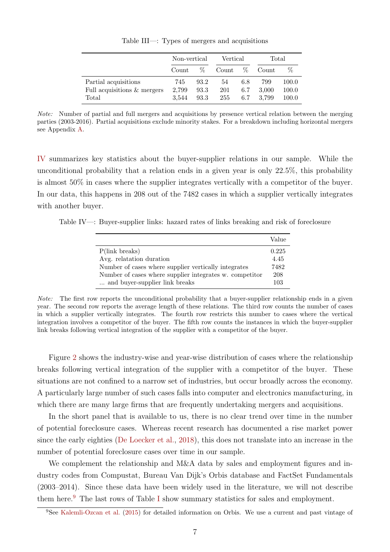|                                                              | Non-vertical          |                      | Vertical         |                   | Total                 |                         |
|--------------------------------------------------------------|-----------------------|----------------------|------------------|-------------------|-----------------------|-------------------------|
|                                                              | Count                 | Z.                   | Count            | $\%$              | Count                 | %                       |
| Partial acquisitions<br>Full acquisitions & mergers<br>Total | 745<br>2.799<br>3.544 | 93.2<br>93.3<br>93.3 | 54<br>201<br>255 | 6.8<br>6.7<br>6.7 | 799<br>3,000<br>3.799 | 100.0<br>100.0<br>100.0 |

Table III—: Types of mergers and acquisitions

Note: Number of partial and full mergers and acquisitions by presence vertical relation between the merging parties (2003-2016). Partial acquisitions exclude minority stakes. For a breakdown including horizontal mergers see Appendix A.

IV summarizes key statistics about the buyer-supplier relations in our sample. While the unconditional probability that a relation ends in a given year is only 22.5%, this probability is almost 50% in cases where the supplier integrates vertically with a competitor of the buyer. In our data, this happens in 208 out of the 7482 cases in which a supplier vertically integrates with another buyer.

Table IV—: Buyer-supplier links: hazard rates of links breaking and risk of foreclosure

|                                                         | Value |
|---------------------------------------------------------|-------|
| $P(link\;break)$                                        | 0.225 |
| Avg. relatation duration                                | 4.45  |
| Number of cases where supplier vertically integrates    | 7482  |
| Number of cases where supplier integrates w. competitor | 208   |
| and buyer-supplier link breaks                          | 103   |

Note: The first row reports the unconditional probability that a buyer-supplier relationship ends in a given year. The second row reports the average length of these relations. The third row counts the number of cases in which a supplier vertically integrates. The fourth row restricts this number to cases where the vertical integration involves a competitor of the buyer. The fifth row counts the instances in which the buyer-supplier link breaks following vertical integration of the supplier with a competitor of the buyer.

Figure 2 shows the industry-wise and year-wise distribution of cases where the relationship breaks following vertical integration of the supplier with a competitor of the buyer. These situations are not confined to a narrow set of industries, but occur broadly across the economy. A particularly large number of such cases falls into computer and electronics manufacturing, in which there are many large firms that are frequently undertaking mergers and acquisitions.

In the short panel that is available to us, there is no clear trend over time in the number of potential foreclosure cases. Whereas recent research has documented a rise market power since the early eighties (De Loecker et al., 2018), this does not translate into an increase in the number of potential foreclosure cases over time in our sample.

We complement the relationship and M&A data by sales and employment figures and industry codes from Compustat, Bureau Van Dijk's Orbis database and FactSet Fundamentals (2003–2014). Since these data have been widely used in the literature, we will not describe them here.9 The last rows of Table I show summary statistics for sales and employment.

<sup>9</sup>See Kalemli-Ozcan et al. (2015) for detailed information on Orbis. We use a current and past vintage of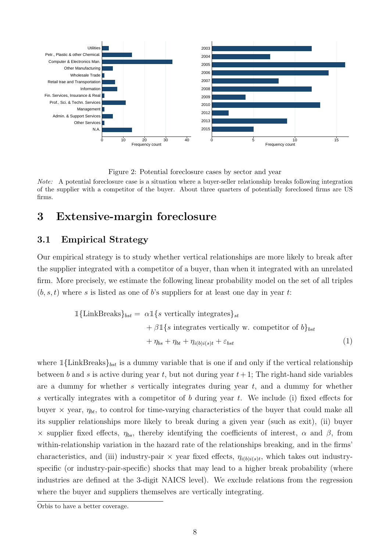

Figure 2: Potential foreclosure cases by sector and year

Note: A potential foreclosure case is a situation where a buyer-seller relationship breaks following integration of the supplier with a competitor of the buyer. About three quarters of potentially foreclosed firms are US firms.

# 3 Extensive-margin foreclosure

## 3.1 Empirical Strategy

Our empirical strategy is to study whether vertical relationships are more likely to break after the supplier integrated with a competitor of a buyer, than when it integrated with an unrelated firm. More precisely, we estimate the following linear probability model on the set of all triples  $(b, s, t)$  where s is listed as one of b's suppliers for at least one day in year t:

$$
\mathbb{1}\{\text{LinkBreaks}\}_{bst} = \alpha \mathbb{1}\{s \text{ vertically integrates}\}_{st} \n+ \beta \mathbb{1}\{s \text{ integrates vertically w. competitor of } b\}_{bst} \n+ \eta_{bs} + \eta_{bt} + \eta_{i(b)i(s)t} + \varepsilon_{bst}
$$
\n(1)

where  $\mathbb{1}\{\text{LinkBreaks}\}_{bst}$  is a dummy variable that is one if and only if the vertical relationship between b and s is active during year t, but not during year  $t+1$ ; The right-hand side variables are a dummy for whether s vertically integrates during year  $t$ , and a dummy for whether s vertically integrates with a competitor of  $b$  during year  $t$ . We include (i) fixed effects for buyer  $\times$  year,  $\eta_{bt}$ , to control for time-varying characteristics of the buyer that could make all its supplier relationships more likely to break during a given year (such as exit), (ii) buyer  $\times$  supplier fixed effects,  $η_{bs}$ , thereby identifying the coefficients of interest,  $\alpha$  and  $\beta$ , from within-relationship variation in the hazard rate of the relationships breaking, and in the firms' characteristics, and (iii) industry-pair  $\times$  year fixed effects,  $\eta_{i(b)i(s)t}$ , which takes out industryspecific (or industry-pair-specific) shocks that may lead to a higher break probability (where industries are defined at the 3-digit NAICS level). We exclude relations from the regression where the buyer and suppliers themselves are vertically integrating.

Orbis to have a better coverage.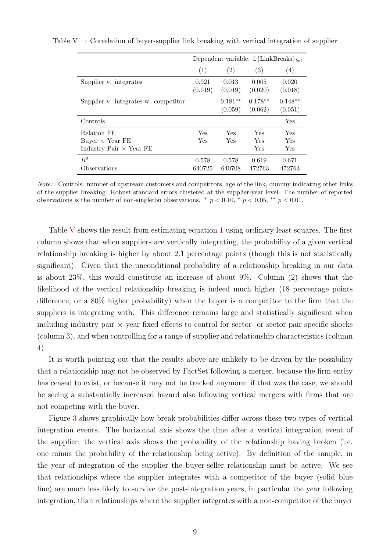|                                                                         | Dependent variable: $\mathbb{1}\{\text{LinkBreaks}\}_{bst}$ |                      |                      |                      |
|-------------------------------------------------------------------------|-------------------------------------------------------------|----------------------|----------------------|----------------------|
|                                                                         | (1)                                                         | (2)                  | (3)                  | $\left( 4\right)$    |
| Supplier v. integrates                                                  | 0.021<br>(0.019)                                            | 0.013<br>(0.019)     | 0.005<br>(0.020)     | 0.020<br>(0.018)     |
| Supplier v. integrates w. competitor                                    |                                                             | $0.181**$<br>(0.059) | $0.178**$<br>(0.062) | $0.148**$<br>(0.051) |
| Controls                                                                |                                                             |                      |                      | Yes                  |
| Relation FE<br>Buyer $\times$ Year FE<br>Industry Pair $\times$ Year FE | Yes<br>Yes                                                  | Yes<br>Yes           | Yes<br>Yes<br>Yes    | Yes<br>Yes<br>Yes    |
| $R^2$<br>Observations                                                   | 0.578<br>640725                                             | 0.578<br>640708      | 0.619<br>472763      | 0.671<br>472763      |

Table V—: Correlation of buyer-supplier link breaking with vertical integration of supplier

Note: Controls: number of upstream customers and competitors, age of the link, dummy indicating other links of the supplier breaking. Robust standard errors clustered at the supplier-year level. The number of reported observations is the number of non-singleton observations.  $+p < 0.10$ ,  $\degree p < 0.05$ ,  $\degree \degree p < 0.01$ .

Table V shows the result from estimating equation 1 using ordinary least squares. The first column shows that when suppliers are vertically integrating, the probability of a given vertical relationship breaking is higher by about 2.1 percentage points (though this is not statistically significant). Given that the unconditional probability of a relationship breaking in our data is about 23%, this would constitute an increase of about 9%. Column (2) shows that the likelihood of the vertical relationship breaking is indeed much higher (18 percentage points difference, or a 80% higher probability) when the buyer is a competitor to the firm that the suppliers is integrating with. This difference remains large and statistically significant when including industry pair  $\times$  year fixed effects to control for sector- or sector-pair-specific shocks (column 3), and when controlling for a range of supplier and relationship characteristics (column 4).

It is worth pointing out that the results above are unlikely to be driven by the possibility that a relationship may not be observed by FactSet following a merger, because the firm entity has ceased to exist, or because it may not be tracked anymore: if that was the case, we should be seeing a substantially increased hazard also following vertical mergers with firms that are not competing with the buyer.

Figure 3 shows graphically how break probabilities differ across these two types of vertical integration events. The horizontal axis shows the time after a vertical integration event of the supplier; the vertical axis shows the probability of the relationship having broken (i.e. one minus the probability of the relationship being active). By definition of the sample, in the year of integration of the supplier the buyer-seller relationship must be active. We see that relationships where the supplier integrates with a competitor of the buyer (solid blue line) are much less likely to survive the post-integration years, in particular the year following integration, than relationships where the supplier integrates with a non-competitor of the buyer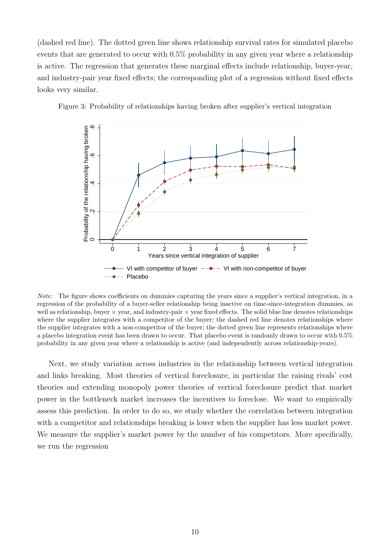(dashed red line). The dotted green line shows relationship survival rates for simulated placebo events that are generated to occur with 0.5% probability in any given year where a relationship is active. The regression that generates these marginal effects include relationship, buyer-year, and industry-pair year fixed effects; the corresponding plot of a regression without fixed effects looks very similar.



Figure 3: Probability of relationships having broken after supplier's vertical integration

Note: The figure shows coefficients on dummies capturing the years since a supplier's vertical integration, in a regression of the probability of a buyer-seller relationship being inactive on time-since-integration dummies, as well as relationship, buyer  $\times$  year, and industry-pair  $\times$  year fixed effects. The solid blue line denotes relationships where the supplier integrates with a competitor of the buyer; the dashed red line denotes relationships where the supplier integrates with a non-competitor of the buyer; the dotted green line represents relationships where a placebo integration event has been drawn to occur. That placebo event is randomly drawn to occur with 0.5% probability in any given year where a relationship is active (and independently across relationship-years).

Next, we study variation across industries in the relationship between vertical integration and links breaking. Most theories of vertical foreclosure, in particular the raising rivals' cost theories and extending monopoly power theories of vertical foreclosure predict that market power in the bottleneck market increases the incentives to foreclose. We want to empirically assess this prediction. In order to do so, we study whether the correlation between integration with a competitor and relationships breaking is lower when the supplier has less market power. We measure the supplier's market power by the number of his competitors. More specifically, we run the regression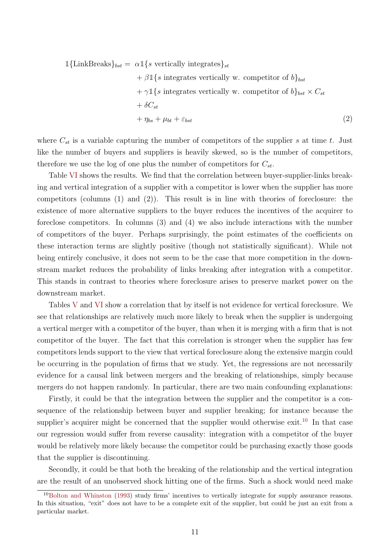$$
\mathbb{1}\{\text{LinkBreaks}\}_{bst} = \alpha \mathbb{1}\{s \text{ vertically integrates}\}_{st} \n+ \beta \mathbb{1}\{s \text{ integrates vertically w. competitor of } b\}_{bst} \n+ \gamma \mathbb{1}\{s \text{ integrates vertically w. competitor of } b\}_{bst} \times C_{st} \n+ \delta C_{st} \n+ \eta_{bs} + \mu_{bt} + \varepsilon_{bst}
$$
\n(2)

where  $C_{st}$  is a variable capturing the number of competitors of the supplier s at time t. Just like the number of buyers and suppliers is heavily skewed, so is the number of competitors, therefore we use the log of one plus the number of competitors for  $C_{st}$ .

Table VI shows the results. We find that the correlation between buyer-supplier-links breaking and vertical integration of a supplier with a competitor is lower when the supplier has more competitors (columns (1) and (2)). This result is in line with theories of foreclosure: the existence of more alternative suppliers to the buyer reduces the incentives of the acquirer to foreclose competitors. In columns (3) and (4) we also include interactions with the number of competitors of the buyer. Perhaps surprisingly, the point estimates of the coefficients on these interaction terms are slightly positive (though not statistically significant). While not being entirely conclusive, it does not seem to be the case that more competition in the downstream market reduces the probability of links breaking after integration with a competitor. This stands in contrast to theories where foreclosure arises to preserve market power on the downstream market.

Tables V and VI show a correlation that by itself is not evidence for vertical foreclosure. We see that relationships are relatively much more likely to break when the supplier is undergoing a vertical merger with a competitor of the buyer, than when it is merging with a firm that is not competitor of the buyer. The fact that this correlation is stronger when the supplier has few competitors lends support to the view that vertical foreclosure along the extensive margin could be occurring in the population of firms that we study. Yet, the regressions are not necessarily evidence for a causal link between mergers and the breaking of relationships, simply because mergers do not happen randomly. In particular, there are two main confounding explanations:

Firstly, it could be that the integration between the supplier and the competitor is a consequence of the relationship between buyer and supplier breaking; for instance because the supplier's acquirer might be concerned that the supplier would otherwise exit.<sup>10</sup> In that case our regression would suffer from reverse causality: integration with a competitor of the buyer would be relatively more likely because the competitor could be purchasing exactly those goods that the supplier is discontinuing.

Secondly, it could be that both the breaking of the relationship and the vertical integration are the result of an unobserved shock hitting one of the firms. Such a shock would need make

<sup>&</sup>lt;sup>10</sup>Bolton and Whinston (1993) study firms' incentives to vertically integrate for supply assurance reasons. In this situation, "exit" does not have to be a complete exit of the supplier, but could be just an exit from a particular market.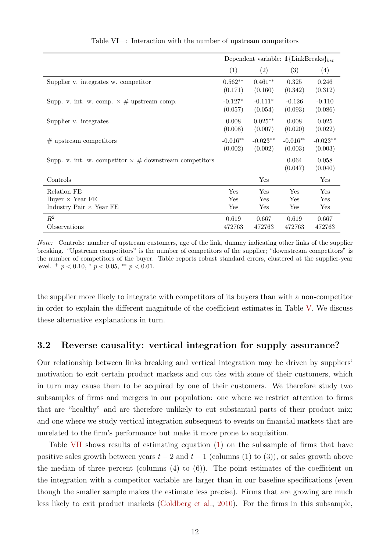|                                                                | Dependent variable: $1\{\text{LinkBreaks}\}_{bst}$ |            |                  |                  |
|----------------------------------------------------------------|----------------------------------------------------|------------|------------------|------------------|
|                                                                | (1)                                                | (2)        | (3)              | (4)              |
| Supplier v. integrates w. competitor                           | $0.562**$                                          | $0.461**$  | 0.325            | 0.246            |
|                                                                | (0.171)                                            | (0.160)    | (0.342)          | (0.312)          |
| Supp. v. int. w. comp. $\times \#$ upstream comp.              | $-0.127*$                                          | $-0.111*$  | $-0.126$         | $-0.110$         |
|                                                                | (0.057)                                            | (0.054)    | (0.093)          | (0.086)          |
| Supplier v. integrates                                         | 0.008                                              | $0.025**$  | 0.008            | 0.025            |
|                                                                | (0.008)                                            | (0.007)    | (0.020)          | (0.022)          |
| $#$ upstream competitors                                       | $-0.016**$                                         | $-0.023**$ | $-0.016**$       | $-0.023**$       |
|                                                                | (0.002)                                            | (0.002)    | (0.003)          | (0.003)          |
| Supp. v. int. w. competitor $\times \#$ downstream competitors |                                                    |            | 0.064<br>(0.047) | 0.058<br>(0.040) |
| Controls                                                       |                                                    | Yes        |                  | Yes              |
| Relation FE                                                    | Yes                                                | Yes        | Yes              | Yes              |
| Buyer $\times$ Year FE                                         | Yes                                                | Yes        | Yes              | Yes              |
| Industry Pair $\times$ Year FE                                 | Yes                                                | Yes        | Yes              | Yes              |
| $R^2$                                                          | 0.619                                              | 0.667      | 0.619            | 0.667            |
| Observations                                                   | 472763                                             | 472763     | 472763           | 472763           |

Table VI—: Interaction with the number of upstream competitors

Note: Controls: number of upstream customers, age of the link, dummy indicating other links of the supplier breaking. "Upstream competitors" is the number of competitors of the supplier; "downstream competitors" is the number of competitors of the buyer. Table reports robust standard errors, clustered at the supplier-year level.  $^{+}$   $p < 0.10, ^{*}$   $p < 0.05, ^{**}$   $p < 0.01$ .

the supplier more likely to integrate with competitors of its buyers than with a non-competitor in order to explain the different magnitude of the coefficient estimates in Table V. We discuss these alternative explanations in turn.

## 3.2 Reverse causality: vertical integration for supply assurance?

Our relationship between links breaking and vertical integration may be driven by suppliers' motivation to exit certain product markets and cut ties with some of their customers, which in turn may cause them to be acquired by one of their customers. We therefore study two subsamples of firms and mergers in our population: one where we restrict attention to firms that are "healthy" and are therefore unlikely to cut substantial parts of their product mix; and one where we study vertical integration subsequent to events on financial markets that are unrelated to the firm's performance but make it more prone to acquisition.

Table VII shows results of estimating equation (1) on the subsample of firms that have positive sales growth between years  $t - 2$  and  $t - 1$  (columns (1) to (3)), or sales growth above the median of three percent (columns  $(4)$  to  $(6)$ ). The point estimates of the coefficient on the integration with a competitor variable are larger than in our baseline specifications (even though the smaller sample makes the estimate less precise). Firms that are growing are much less likely to exit product markets (Goldberg et al., 2010). For the firms in this subsample,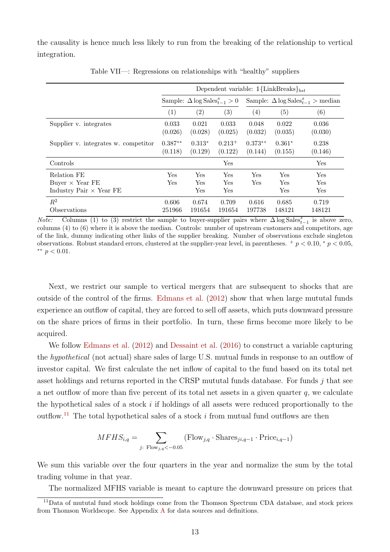the causality is hence much less likely to run from the breaking of the relationship to vertical integration.

|                                                                         | Dependent variable: $1{$ {LinkBreaks}} <sub>bst</sub> |                                                |                        |                                                            |                                    |                   |  |
|-------------------------------------------------------------------------|-------------------------------------------------------|------------------------------------------------|------------------------|------------------------------------------------------------|------------------------------------|-------------------|--|
|                                                                         |                                                       | Sample: $\Delta \log \text{Sales}_{t-1}^s > 0$ |                        | Sample: $\Delta \log \text{Sales}_{t-1}^s > \text{median}$ |                                    |                   |  |
|                                                                         | (1)                                                   | (2)                                            | (3)                    | (4)                                                        | (5)                                | (6)               |  |
| Supplier v. integrates                                                  | 0.033<br>(0.026)                                      | 0.021<br>(0.028)                               | 0.033<br>(0.025)       | 0.048<br>(0.032)                                           | 0.022<br>(0.035)                   | 0.036<br>(0.030)  |  |
| Supplier v. integrates w. competitor                                    | $0.387**$<br>(0.118)                                  | $0.313*$<br>(0.129)                            | $0.213^{+}$<br>(0.122) | $0.373**$<br>(0.144)                                       | $0.361*$<br>(0.155)                | 0.238<br>(0.146)  |  |
| Controls                                                                |                                                       |                                                | Yes                    |                                                            |                                    | Yes               |  |
| Relation FE<br>Buyer $\times$ Year FE<br>Industry Pair $\times$ Year FE | Yes<br>Yes                                            | Yes<br>$\operatorname{Yes}$<br>Yes             | Yes<br>Yes<br>Yes      | Yes<br>Yes                                                 | $\operatorname{Yes}$<br>Yes<br>Yes | Yes<br>Yes<br>Yes |  |
| $R^2$<br>Observations                                                   | 0.606<br>251966                                       | 0.674<br>191654                                | 0.709<br>191654        | 0.616<br>197738                                            | 0.685<br>148121                    | 0.719<br>148121   |  |

Table VII—: Regressions on relationships with "healthy" suppliers

Note: Columns (1) to (3) restrict the sample to buyer-supplier pairs where  $\Delta \log \text{Sales}_{t-1}^s$  is above zero, columns (4) to (6) where it is above the median. Controls: number of upstream customers and competitors, age of the link, dummy indicating other links of the supplier breaking. Number of observations exclude singleton observations. Robust standard errors, clustered at the supplier-year level, in parentheses.  $+p < 0.10$ ,  $p < 0.05$ , ∗∗ p < 0.01.

Next, we restrict our sample to vertical mergers that are subsequent to shocks that are outside of the control of the firms. Edmans et al. (2012) show that when large mututal funds experience an outflow of capital, they are forced to sell off assets, which puts downward pressure on the share prices of firms in their portfolio. In turn, these firms become more likely to be acquired.

We follow Edmans et al. (2012) and Dessaint et al. (2016) to construct a variable capturing the hypothetical (not actual) share sales of large U.S. mutual funds in response to an outflow of investor capital. We first calculate the net inflow of capital to the fund based on its total net asset holdings and returns reported in the CRSP mututal funds database. For funds j that see a net outflow of more than five percent of its total net assets in a given quarter  $q$ , we calculate the hypothetical sales of a stock  $i$  if holdings of all assets were reduced proportionally to the outflow.<sup>11</sup> The total hypothetical sales of a stock  $i$  from mutual fund outflows are then

$$
MFHS_{i,q} = \sum_{j: \text{Flow}_{j,q} < -0.05} (\text{Flow}_{j,q} \cdot \text{Shares}_{ji,q-1} \cdot \text{Price}_{i,q-1})
$$

We sum this variable over the four quarters in the year and normalize the sum by the total trading volume in that year.

The normalized MFHS variable is meant to capture the downward pressure on prices that

<sup>&</sup>lt;sup>11</sup>Data of mututal fund stock holdings come from the Thomson Spectrum CDA database, and stock prices from Thomson Worldscope. See Appendix A for data sources and definitions.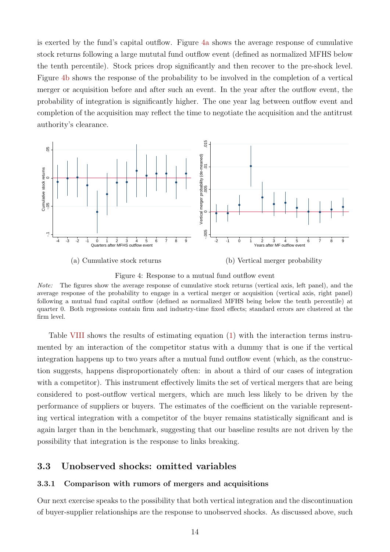is exerted by the fund's capital outflow. Figure 4a shows the average response of cumulative stock returns following a large mututal fund outflow event (defined as normalized MFHS below the tenth percentile). Stock prices drop significantly and then recover to the pre-shock level. Figure 4b shows the response of the probability to be involved in the completion of a vertical merger or acquisition before and after such an event. In the year after the outflow event, the probability of integration is significantly higher. The one year lag between outflow event and completion of the acquisition may reflect the time to negotiate the acquisition and the antitrust authority's clearance.



Figure 4: Response to a mutual fund outflow event

Table VIII shows the results of estimating equation (1) with the interaction terms instrumented by an interaction of the competitor status with a dummy that is one if the vertical integration happens up to two years after a mutual fund outflow event (which, as the construction suggests, happens disproportionately often: in about a third of our cases of integration with a competitor). This instrument effectively limits the set of vertical mergers that are being considered to post-outflow vertical mergers, which are much less likely to be driven by the performance of suppliers or buyers. The estimates of the coefficient on the variable representing vertical integration with a competitor of the buyer remains statistically significant and is again larger than in the benchmark, suggesting that our baseline results are not driven by the possibility that integration is the response to links breaking.

#### 3.3 Unobserved shocks: omitted variables

#### 3.3.1 Comparison with rumors of mergers and acquisitions

Our next exercise speaks to the possibility that both vertical integration and the discontinuation of buyer-supplier relationships are the response to unobserved shocks. As discussed above, such

Note: The figures show the average response of cumulative stock returns (vertical axis, left panel), and the average response of the probability to engage in a vertical merger or acquisition (vertical axis, right panel) following a mutual fund capital outflow (defined as normalized MFHS being below the tenth percentile) at quarter 0. Both regressions contain firm and industry-time fixed effects; standard errors are clustered at the firm level.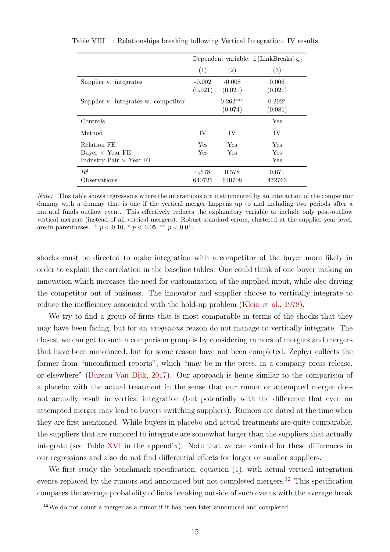|                                      |            | Dependent variable: $1{$ {LinkBreaks}}_{bst} |          |
|--------------------------------------|------------|----------------------------------------------|----------|
|                                      | (1)        | (2)                                          | (3)      |
| Supplier v. integrates               | $-0.002$   | $-0.008$                                     | 0.006    |
|                                      | (0.021)    | (0.021)                                      | (0.021)  |
| Supplier v. integrates w. competitor |            | $0.262***$                                   | $0.202*$ |
|                                      |            | (0.074)                                      | (0.081)  |
| Controls                             |            |                                              | Yes      |
| Method                               | IV         | IV                                           | IV       |
| Relation FE                          | <b>Yes</b> | Yes                                          | Yes      |
| Buyer $\times$ Year FE               | Yes        | Yes                                          | Yes      |
| Industry Pair $\times$ Year FE       |            |                                              | Yes      |
| $R^2$                                | 0.578      | 0.578                                        | 0.671    |
| Observations                         | 640725     | 640708                                       | 472763   |

Table VIII—: Relationships breaking following Vertical Integration: IV results

Note: This table shows regressions where the interactions are instrumented by an interaction of the competitor dummy with a dummy that is one if the vertical merger happens up to and including two periods after a mututal funds outflow event. This effectively reduces the explanatory variable to include only post-outflow vertical mergers (instead of all vertical mergers). Robust standard errors, clustered at the supplier-year level, are in parentheses.  $+ p < 0.10, * p < 0.05, ** p < 0.01$ .

shocks must be directed to make integration with a competitor of the buyer more likely in order to explain the correlation in the baseline tables. One could think of one buyer making an innovation which increases the need for customization of the supplied input, while also driving the competitor out of business. The innovator and supplier choose to vertically integrate to reduce the inefficiency associated with the hold-up problem (Klein et al., 1978).

We try to find a group of firms that is most comparable in terms of the shocks that they may have been facing, but for an exogenous reason do not manage to vertically integrate. The closest we can get to such a comparison group is by considering rumors of mergers and mergers that have been announced, but for some reason have not been completed. Zephyr collects the former from "unconfirmed reports", which "may be in the press, in a company press release, or elsewhere" (Bureau Van Dijk, 2017). Our approach is hence similar to the comparison of a placebo with the actual treatment in the sense that our rumor or attempted merger does not actually result in vertical integration (but potentially with the difference that even an attempted merger may lead to buyers switching suppliers). Rumors are dated at the time when they are first mentioned. While buyers in placebo and actual treatments are quite comparable, the suppliers that are rumored to integrate are somewhat larger than the suppliers that actually integrate (see Table XVI in the appendix). Note that we can control for these differences in our regressions and also do not find differential effects for larger or smaller suppliers.

We first study the benchmark specification, equation  $(1)$ , with actual vertical integration events replaced by the rumors and announced but not completed mergers.12 This specification compares the average probability of links breaking outside of such events with the average break

 $12$ We do not count a merger as a rumor if it has been later announced and completed.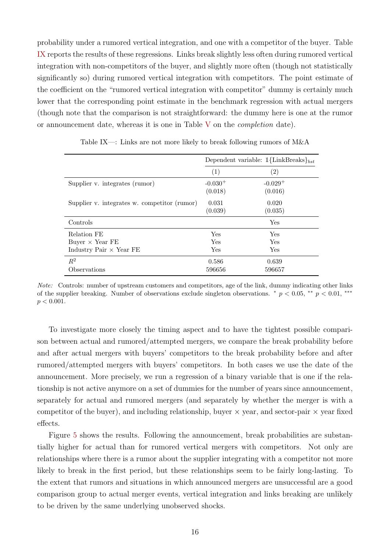probability under a rumored vertical integration, and one with a competitor of the buyer. Table IX reports the results of these regressions. Links break slightly less often during rumored vertical integration with non-competitors of the buyer, and slightly more often (though not statistically significantly so) during rumored vertical integration with competitors. The point estimate of the coefficient on the "rumored vertical integration with competitor" dummy is certainly much lower that the corresponding point estimate in the benchmark regression with actual mergers (though note that the comparison is not straightforward: the dummy here is one at the rumor or announcement date, whereas it is one in Table V on the completion date).

|                                              | Dependent variable: $1\{\text{LinkBreaks}\}_{bst}$ |                       |  |
|----------------------------------------------|----------------------------------------------------|-----------------------|--|
|                                              | (1)                                                | $\left( 2\right)$     |  |
| Supplier v. integrates (rumor)               | $-0.030^{+}$                                       | $-0.029$ <sup>+</sup> |  |
|                                              | (0.018)                                            | (0.016)               |  |
| Supplier v. integrates w. competitor (rumor) | 0.031                                              | 0.020                 |  |
|                                              | (0.039)                                            | (0.035)               |  |
| Controls                                     |                                                    | Yes                   |  |
| Relation FE                                  | Yes                                                | Yes                   |  |
| Buyer $\times$ Year FE                       | Yes                                                | Yes                   |  |
| Industry Pair $\times$ Year FE               | Yes                                                | Yes                   |  |
| $R^2$                                        | 0.586                                              | 0.639                 |  |
| Observations                                 | 596656                                             | 596657                |  |

Table IX—: Links are not more likely to break following rumors of M&A

Note: Controls: number of upstream customers and competitors, age of the link, dummy indicating other links of the supplier breaking. Number of observations exclude singleton observations. \*  $p < 0.05$ , \*\*  $p < 0.01$ , \*\*\*  $p < 0.001$ .

To investigate more closely the timing aspect and to have the tightest possible comparison between actual and rumored/attempted mergers, we compare the break probability before and after actual mergers with buyers' competitors to the break probability before and after rumored/attempted mergers with buyers' competitors. In both cases we use the date of the announcement. More precisely, we run a regression of a binary variable that is one if the relationship is not active anymore on a set of dummies for the number of years since announcement, separately for actual and rumored mergers (and separately by whether the merger is with a competitor of the buyer), and including relationship, buyer  $\times$  year, and sector-pair  $\times$  year fixed effects.

Figure 5 shows the results. Following the announcement, break probabilities are substantially higher for actual than for rumored vertical mergers with competitors. Not only are relationships where there is a rumor about the supplier integrating with a competitor not more likely to break in the first period, but these relationships seem to be fairly long-lasting. To the extent that rumors and situations in which announced mergers are unsuccessful are a good comparison group to actual merger events, vertical integration and links breaking are unlikely to be driven by the same underlying unobserved shocks.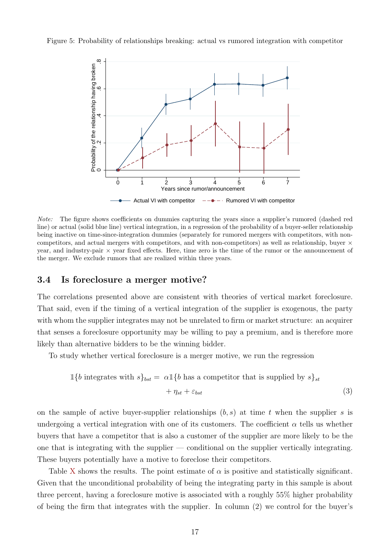Figure 5: Probability of relationships breaking: actual vs rumored integration with competitor



Note: The figure shows coefficients on dummies capturing the years since a supplier's rumored (dashed red line) or actual (solid blue line) vertical integration, in a regression of the probability of a buyer-seller relationship being inactive on time-since-integration dummies (separately for rumored mergers with competitors, with noncompetitors, and actual mergers with competitors, and with non-competitors) as well as relationship, buyer  $\times$ year, and industry-pair  $\times$  year fixed effects. Here, time zero is the time of the rumor or the announcement of the merger. We exclude rumors that are realized within three years.

#### 3.4 Is foreclosure a merger motive?

The correlations presented above are consistent with theories of vertical market foreclosure. That said, even if the timing of a vertical integration of the supplier is exogenous, the party with whom the supplier integrates may not be unrelated to firm or market structure: an acquirer that senses a foreclosure opportunity may be willing to pay a premium, and is therefore more likely than alternative bidders to be the winning bidder.

To study whether vertical foreclosure is a merger motive, we run the regression

$$
\mathbb{1}\{b \text{ integrates with } s\}_{bst} = \alpha \mathbb{1}\{b \text{ has a competitor that is supplied by } s\}_{st}
$$

$$
+ \eta_{st} + \varepsilon_{bst}
$$
(3)

on the sample of active buyer-supplier relationships  $(b, s)$  at time t when the supplier s is undergoing a vertical integration with one of its customers. The coefficient  $\alpha$  tells us whether buyers that have a competitor that is also a customer of the supplier are more likely to be the one that is integrating with the supplier  $-$  conditional on the supplier vertically integrating. These buyers potentially have a motive to foreclose their competitors.

Table X shows the results. The point estimate of  $\alpha$  is positive and statistically significant. Given that the unconditional probability of being the integrating party in this sample is about three percent, having a foreclosure motive is associated with a roughly 55% higher probability of being the firm that integrates with the supplier. In column (2) we control for the buyer's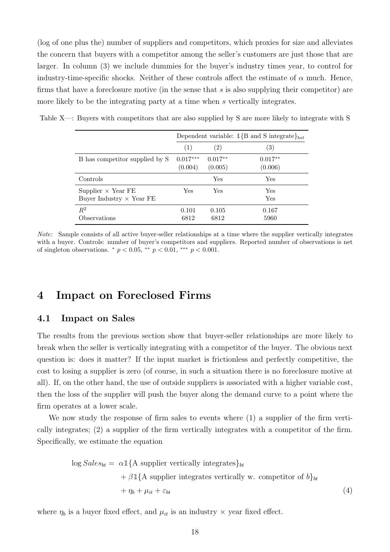(log of one plus the) number of suppliers and competitors, which proxies for size and alleviates the concern that buyers with a competitor among the seller's customers are just those that are larger. In column (3) we include dummies for the buyer's industry times year, to control for industry-time-specific shocks. Neither of these controls affect the estimate of  $\alpha$  much. Hence, firms that have a foreclosure motive (in the sense that  $s$  is also supplying their competitor) are more likely to be the integrating party at a time when s vertically integrates.

|                                                              | Dependent variable: $1{B}$ and S integrate $b_{\text{est}}$ |                      |                      |  |  |
|--------------------------------------------------------------|-------------------------------------------------------------|----------------------|----------------------|--|--|
|                                                              | (1)                                                         | $\left( 2\right)$    | $\left( 3\right)$    |  |  |
| B has competitor supplied by S                               | $0.017***$<br>(0.004)                                       | $0.017**$<br>(0.005) | $0.017**$<br>(0.006) |  |  |
| Controls                                                     |                                                             | Yes                  | Yes                  |  |  |
| Supplier $\times$ Year FE<br>Buyer Industry $\times$ Year FE | Yes                                                         | Yes                  | Yes<br>Yes           |  |  |
| $R^2$<br>Observations                                        | 0.101<br>6812                                               | 0.105<br>6812        | 0.167<br>5960        |  |  |

Table X—: Buyers with competitors that are also supplied by S are more likely to integrate with S

Note: Sample consists of all active buyer-seller relationships at a time where the supplier vertically integrates with a buyer. Controls: number of buyer's competitors and suppliers. Reported number of observations is net of singleton observations.  $*$   $p < 0.05$ ,  $**$   $p < 0.01$ ,  $**$   $p < 0.001$ .

## 4 Impact on Foreclosed Firms

#### 4.1 Impact on Sales

The results from the previous section show that buyer-seller relationships are more likely to break when the seller is vertically integrating with a competitor of the buyer. The obvious next question is: does it matter? If the input market is frictionless and perfectly competitive, the cost to losing a supplier is zero (of course, in such a situation there is no foreclosure motive at all). If, on the other hand, the use of outside suppliers is associated with a higher variable cost, then the loss of the supplier will push the buyer along the demand curve to a point where the firm operates at a lower scale.

We now study the response of firm sales to events where (1) a supplier of the firm vertically integrates; (2) a supplier of the firm vertically integrates with a competitor of the firm. Specifically, we estimate the equation

$$
\log Sales_{bt} = \alpha \mathbb{1}\{\text{A supplier vertically integrates}\}_{bt}
$$
  
+  $\beta \mathbb{1}\{\text{A supplier integrates vertically w. competitor of } b\}_{bt}$   
+  $\eta_b + \mu_{it} + \varepsilon_{bt}$  (4)

where  $\eta_b$  is a buyer fixed effect, and  $\mu_{it}$  is an industry  $\times$  year fixed effect.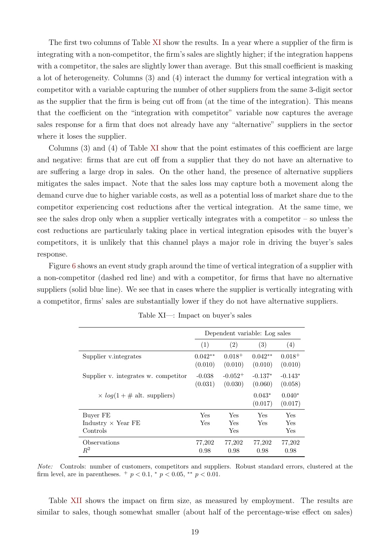The first two columns of Table XI show the results. In a year where a supplier of the firm is integrating with a non-competitor, the firm's sales are slightly higher; if the integration happens with a competitor, the sales are slightly lower than average. But this small coefficient is masking a lot of heterogeneity. Columns (3) and (4) interact the dummy for vertical integration with a competitor with a variable capturing the number of other suppliers from the same 3-digit sector as the supplier that the firm is being cut off from (at the time of the integration). This means that the coefficient on the "integration with competitor" variable now captures the average sales response for a firm that does not already have any "alternative" suppliers in the sector where it loses the supplier.

Columns (3) and (4) of Table XI show that the point estimates of this coefficient are large and negative: firms that are cut off from a supplier that they do not have an alternative to are suffering a large drop in sales. On the other hand, the presence of alternative suppliers mitigates the sales impact. Note that the sales loss may capture both a movement along the demand curve due to higher variable costs, as well as a potential loss of market share due to the competitor experiencing cost reductions after the vertical integration. At the same time, we see the sales drop only when a supplier vertically integrates with a competitor – so unless the cost reductions are particularly taking place in vertical integration episodes with the buyer's competitors, it is unlikely that this channel plays a major role in driving the buyer's sales response.

Figure 6 shows an event study graph around the time of vertical integration of a supplier with a non-competitor (dashed red line) and with a competitor, for firms that have no alternative suppliers (solid blue line). We see that in cases where the supplier is vertically integrating with a competitor, firms' sales are substantially lower if they do not have alternative suppliers.

|                                      | Dependent variable: Log sales |                         |                      |                        |
|--------------------------------------|-------------------------------|-------------------------|----------------------|------------------------|
|                                      | (1)                           | (2)                     | (3)                  | (4)                    |
| Supplier v.integrates                | $0.042**$<br>(0.010)          | $0.018^{+}$<br>(0.010)  | $0.042**$<br>(0.010) | $0.018^{+}$<br>(0.010) |
| Supplier v. integrates w. competitor | $-0.038$<br>(0.031)           | $-0.052^{+}$<br>(0.030) | $-0.137*$<br>(0.060) | $-0.143*$<br>(0.058)   |
| $\times log(1 + # alt. supplies)$    |                               |                         | $0.043*$<br>(0.017)  | $0.040*$<br>(0.017)    |
| Buyer FE                             | Yes                           | Yes                     | Yes                  | Yes                    |
| Industry $\times$ Year FE            | Yes                           | Yes                     | Yes                  | Yes                    |
| Controls                             |                               | Yes                     |                      | Yes                    |
| Observations<br>$\,R^2$              | 77,202<br>0.98                | 77,202<br>0.98          | 77,202<br>0.98       | 77,202<br>0.98         |

Table XI—: Impact on buyer's sales

Note: Controls: number of customers, competitors and suppliers. Robust standard errors, clustered at the firm level, are in parentheses.  $+p < 0.1$ ,  $p < 0.05$ ,  $p < 0.01$ .

Table XII shows the impact on firm size, as measured by employment. The results are similar to sales, though somewhat smaller (about half of the percentage-wise effect on sales)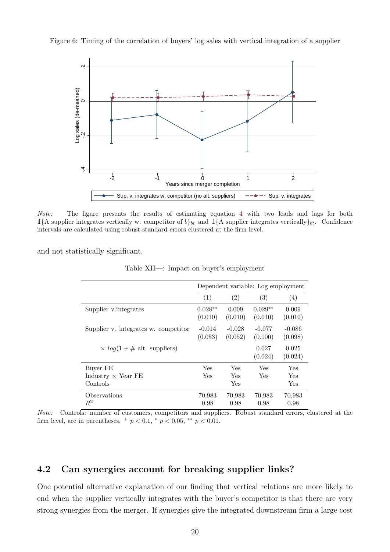



Note: The figure presents the results of estimating equation 4 with two leads and lags for both  $1{A}$  supplier integrates vertically w. competitor of  $b_{bt}$  and  $1{A}$  supplier integrates vertically  $b_{bt}$ . Confidence intervals are calculated using robust standard errors clustered at the firm level.

and not statistically significant.

| Table XII—: Impact on buyer's employment |  |  |
|------------------------------------------|--|--|
|                                          |  |  |

|                                      | Dependent variable: Log employment |                     |                      |                     |  |  |  |
|--------------------------------------|------------------------------------|---------------------|----------------------|---------------------|--|--|--|
|                                      | (1)                                | (2)                 | (3)                  | (4)                 |  |  |  |
| Supplier v.integrates                | $0.028**$<br>(0.010)               | 0.009<br>(0.010)    | $0.029**$<br>(0.010) | 0.009<br>(0.010)    |  |  |  |
| Supplier v. integrates w. competitor | $-0.014$<br>(0.053)                | $-0.028$<br>(0.052) | $-0.077$<br>(0.100)  | $-0.086$<br>(0.098) |  |  |  |
| $\times$ log(1 + # alt. suppliers)   |                                    |                     | 0.027<br>(0.024)     | 0.025<br>(0.024)    |  |  |  |
| Buver FE                             | Yes                                | Yes                 | Yes                  | Yes                 |  |  |  |
| Industry $\times$ Year FE            | Yes                                | Yes                 | <b>Yes</b>           | Yes                 |  |  |  |
| Controls                             |                                    | Yes                 |                      | Yes                 |  |  |  |
| Observations<br>$R^2$                | 70,983<br>0.98                     | 70,983<br>0.98      | 70,983<br>0.98       | 70,983<br>0.98      |  |  |  |

Note: Controls: number of customers, competitors and suppliers. Robust standard errors, clustered at the firm level, are in parentheses.  $^{+}p < 0.1$ ,  $^{*}p < 0.05$ ,  $^{**}p < 0.01$ .

## 4.2 Can synergies account for breaking supplier links?

One potential alternative explanation of our finding that vertical relations are more likely to end when the supplier vertically integrates with the buyer's competitor is that there are very strong synergies from the merger. If synergies give the integrated downstream firm a large cost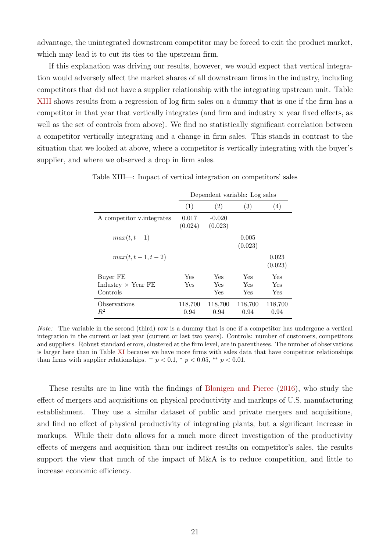advantage, the unintegrated downstream competitor may be forced to exit the product market, which may lead it to cut its ties to the upstream firm.

If this explanation was driving our results, however, we would expect that vertical integration would adversely affect the market shares of all downstream firms in the industry, including competitors that did not have a supplier relationship with the integrating upstream unit. Table XIII shows results from a regression of log firm sales on a dummy that is one if the firm has a competitor in that year that vertically integrates (and firm and industry  $\times$  year fixed effects, as well as the set of controls from above). We find no statistically significant correlation between a competitor vertically integrating and a change in firm sales. This stands in contrast to the situation that we looked at above, where a competitor is vertically integrating with the buyer's supplier, and where we observed a drop in firm sales.

|                            | Dependent variable: Log sales |                     |                  |                  |  |  |  |
|----------------------------|-------------------------------|---------------------|------------------|------------------|--|--|--|
|                            | (1)                           | (2)                 | (3)              | (4)              |  |  |  |
| A competitor v. integrates | 0.017<br>(0.024)              | $-0.020$<br>(0.023) |                  |                  |  |  |  |
| $max(t,t-1)$               |                               |                     | 0.005<br>(0.023) |                  |  |  |  |
| $max(t, t - 1, t - 2)$     |                               |                     |                  | 0.023<br>(0.023) |  |  |  |
| Buyer FE                   | Yes                           | Yes                 | Yes              | Yes              |  |  |  |
| Industry $\times$ Year FE  | Yes                           | Yes                 | Yes              | Yes              |  |  |  |
| Controls                   |                               | Yes                 | Yes              | Yes              |  |  |  |
| Observations<br>$R^2$      | 118,700<br>0.94               | 118,700<br>0.94     | 118,700<br>0.94  | 118,700<br>0.94  |  |  |  |

Table XIII—: Impact of vertical integration on competitors' sales

Note: The variable in the second (third) row is a dummy that is one if a competitor has undergone a vertical integration in the current or last year (current or last two years). Controls: number of customers, competitors and suppliers. Robust standard errors, clustered at the firm level, are in parentheses. The number of observations is larger here than in Table XI because we have more firms with sales data that have competitor relationships than firms with supplier relationships.  $+p < 0.1$ ,  $\degree p < 0.05$ ,  $\degree \degree p < 0.01$ .

These results are in line with the findings of Blonigen and Pierce (2016), who study the effect of mergers and acquisitions on physical productivity and markups of U.S. manufacturing establishment. They use a similar dataset of public and private mergers and acquisitions, and find no effect of physical productivity of integrating plants, but a significant increase in markups. While their data allows for a much more direct investigation of the productivity effects of mergers and acquisition than our indirect results on competitor's sales, the results support the view that much of the impact of M&A is to reduce competition, and little to increase economic efficiency.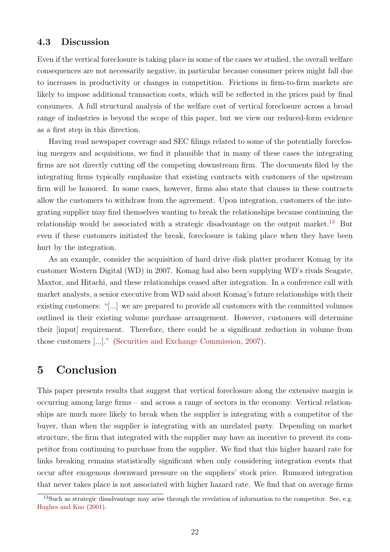## 4.3 Discussion

Even if the vertical foreclosure is taking place in some of the cases we studied, the overall welfare consequences are not necessarily negative, in particular because consumer prices might fall due to increases in productivity or changes in competition. Frictions in firm-to-firm markets are likely to impose additional transaction costs, which will be reflected in the prices paid by final consumers. A full structural analysis of the welfare cost of vertical foreclosure across a broad range of industries is beyond the scope of this paper, but we view our reduced-form evidence as a first step in this direction.

Having read newspaper coverage and SEC filings related to some of the potentially foreclosing mergers and acquisitions, we find it plausible that in many of these cases the integrating firms are not directly cutting off the competing downstream firm. The documents filed by the integrating firms typically emphasize that existing contracts with customers of the upstream firm will be honored. In some cases, however, firms also state that clauses in these contracts allow the customers to withdraw from the agreement. Upon integration, customers of the integrating supplier may find themselves wanting to break the relationships because continuing the relationship would be associated with a strategic disadvantage on the output market.<sup>13</sup> But even if these customers initiated the break, foreclosure is taking place when they have been hurt by the integration.

As an example, consider the acquisition of hard drive disk platter producer Komag by its customer Western Digital (WD) in 2007. Komag had also been supplying WD's rivals Seagate, Maxtor, and Hitachi, and these relationships ceased after integration. In a conference call with market analysts, a senior executive from WD said about Komag's future relationships with their existing customers: "[...] we are prepared to provide all customers with the committed volumes outlined in their existing volume purchase arrangement. However, customers will determine their [input] requirement. Therefore, there could be a significant reduction in volume from those customers [...]." (Securities and Exchange Commission, 2007).

## 5 Conclusion

This paper presents results that suggest that vertical foreclosure along the extensive margin is occurring among large firms – and across a range of sectors in the economy. Vertical relationships are much more likely to break when the supplier is integrating with a competitor of the buyer, than when the supplier is integrating with an unrelated party. Depending on market structure, the firm that integrated with the supplier may have an incentive to prevent its competitor from continuing to purchase from the supplier. We find that this higher hazard rate for links breaking remains statistically significant when only considering integration events that occur after exogenous downward pressure on the suppliers' stock price. Rumored integration that never takes place is not associated with higher hazard rate. We find that on average firms

<sup>&</sup>lt;sup>13</sup>Such as strategic disadvantage may arise through the revelation of information to the competitor. See, e.g. Hughes and Kao (2001).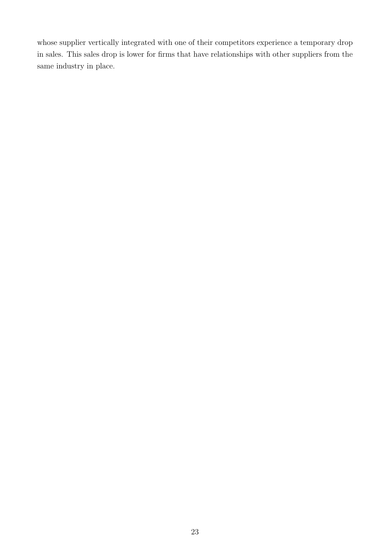whose supplier vertically integrated with one of their competitors experience a temporary drop in sales. This sales drop is lower for firms that have relationships with other suppliers from the same industry in place.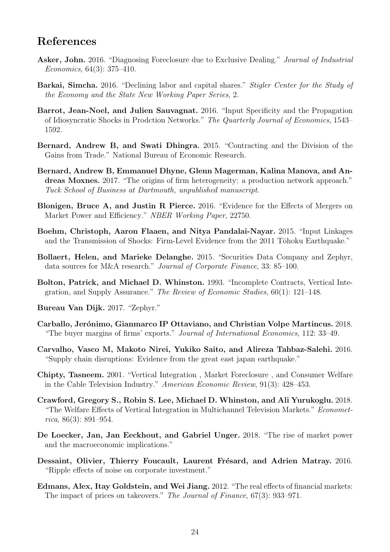# References

- Asker, John. 2016. "Diagnosing Foreclosure due to Exclusive Dealing." Journal of Industrial Economics, 64(3): 375–410.
- Barkai, Simcha. 2016. "Declining labor and capital shares." Stigler Center for the Study of the Economy and the State New Working Paper Series, 2.
- Barrot, Jean-Noel, and Julien Sauvagnat. 2016. "Input Specificity and the Propagation of Idiosyncratic Shocks in Prodction Networks." The Quarterly Journal of Economics, 1543– 1592.
- Bernard, Andrew B, and Swati Dhingra. 2015. "Contracting and the Division of the Gains from Trade." National Bureau of Economic Research.
- Bernard, Andrew B, Emmanuel Dhyne, Glenn Magerman, Kalina Manova, and Andreas Moxnes. 2017. "The origins of firm heterogeneity: a production network approach." Tuck School of Business at Dartmouth, unpublished manuscript.
- Blonigen, Bruce A, and Justin R Pierce. 2016. "Evidence for the Effects of Mergers on Market Power and Efficiency." NBER Working Paper, 22750.
- Boehm, Christoph, Aaron Flaaen, and Nitya Pandalai-Nayar. 2015. "Input Linkages and the Transmission of Shocks: Firm-Level Evidence from the 2011 Tōhoku Earthquake."
- Bollaert, Helen, and Marieke Delanghe. 2015. "Securities Data Company and Zephyr, data sources for M&A research." Journal of Corporate Finance, 33: 85–100.
- Bolton, Patrick, and Michael D. Whinston. 1993. "Incomplete Contracts, Vertical Integration, and Supply Assurance." The Review of Economic Studies, 60(1): 121–148.
- Bureau Van Dijk. 2017. "Zephyr."
- Carballo, Jerónimo, Gianmarco IP Ottaviano, and Christian Volpe Martincus. 2018. "The buyer margins of firms' exports." Journal of International Economics, 112: 33–49.
- Carvalho, Vasco M, Makoto Nirei, Yukiko Saito, and Alireza Tahbaz-Salehi. 2016. "Supply chain disruptions: Evidence from the great east japan earthquake."
- Chipty, Tasneem. 2001. "Vertical Integration , Market Foreclosure , and Consumer Welfare in the Cable Television Industry." American Economic Review, 91(3): 428–453.
- Crawford, Gregory S., Robin S. Lee, Michael D. Whinston, and Ali Yurukoglu. 2018. "The Welfare Effects of Vertical Integration in Multichannel Television Markets." Econometrica, 86(3): 891–954.
- De Loecker, Jan, Jan Eeckhout, and Gabriel Unger. 2018. "The rise of market power and the macroeconomic implications."
- Dessaint, Olivier, Thierry Foucault, Laurent Frésard, and Adrien Matray. 2016. "Ripple effects of noise on corporate investment."
- Edmans, Alex, Itay Goldstein, and Wei Jiang. 2012. "The real effects of financial markets: The impact of prices on takeovers." The Journal of Finance, 67(3): 933–971.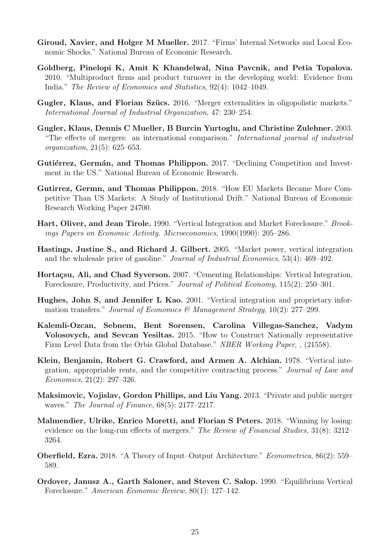- Giroud, Xavier, and Holger M Mueller. 2017. "Firms' Internal Networks and Local Economic Shocks." National Bureau of Economic Research.
- Goldberg, Pinelopi K, Amit K Khandelwal, Nina Pavcnik, and Petia Topalova. 2010. "Multiproduct firms and product turnover in the developing world: Evidence from India." The Review of Economics and Statistics, 92(4): 1042–1049.
- Gugler, Klaus, and Florian Szücs. 2016. "Merger externalities in oligopolistic markets." International Journal of Industrial Organization, 47: 230–254.
- Gugler, Klaus, Dennis C Mueller, B Burcin Yurtoglu, and Christine Zulehner. 2003. "The effects of mergers: an international comparison." International journal of industrial organization, 21(5): 625–653.
- Gutiérrez, Germán, and Thomas Philippon. 2017. "Declining Competition and Investment in the US." National Bureau of Economic Research.
- Gutirrez, Germn, and Thomas Philippon. 2018. "How EU Markets Became More Competitive Than US Markets: A Study of Institutional Drift." National Bureau of Economic Research Working Paper 24700.
- Hart, Oliver, and Jean Tirole. 1990. "Vertical Integration and Market Foreclosure." Brookings Papers on Economic Activity. Microeconomics, 1990(1990): 205–286.
- Hastings, Justine S., and Richard J. Gilbert. 2005. "Market power, vertical integration and the wholesale price of gasoline." Journal of Industrial Economics, 53(4): 469–492.
- Hortaçsu, Ali, and Chad Syverson. 2007. "Cementing Relationships: Vertical Integration, Foreclosure, Productivity, and Prices." Journal of Political Economy, 115(2): 250–301.
- Hughes, John S, and Jennifer L Kao. 2001. "Vertical integration and proprietary information transfers." Journal of Economics & Management Strategy,  $10(2)$ : 277–299.
- Kalemli-Ozcan, Sebnem, Bent Sorensen, Carolina Villegas-Sanchez, Vadym Volosovych, and Sevcan Yesiltas. 2015. "How to Construct Nationally representative Firm Level Data from the Orbis Global Database." NBER Working Paper, , (21558).
- Klein, Benjamin, Robert G. Crawford, and Armen A. Alchian. 1978. "Vertical integration, appropriable rents, and the competitive contracting process." Journal of Law and Economics, 21(2): 297–326.
- Maksimovic, Vojislav, Gordon Phillips, and Liu Yang. 2013. "Private and public merger waves." The Journal of Finance,  $68(5)$ : 2177–2217.
- Malmendier, Ulrike, Enrico Moretti, and Florian S Peters. 2018. "Winning by losing: evidence on the long-run effects of mergers." The Review of Financial Studies, 31(8): 3212– 3264.
- Oberfield, Ezra. 2018. "A Theory of Input–Output Architecture." Econometrica, 86(2): 559– 589.
- Ordover, Janusz A., Garth Saloner, and Steven C. Salop. 1990. "Equilibrium Vertical Foreclosure." American Economic Review, 80(1): 127–142.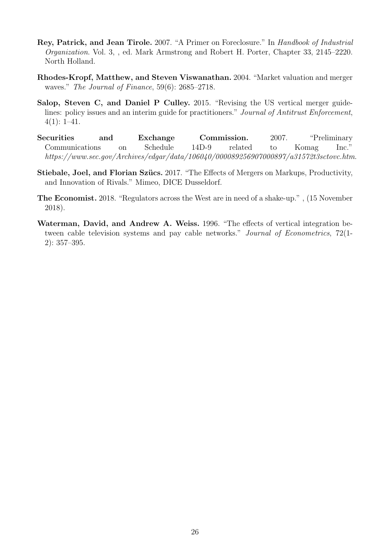- Rey, Patrick, and Jean Tirole. 2007. "A Primer on Foreclosure." In Handbook of Industrial Organization. Vol. 3, , ed. Mark Armstrong and Robert H. Porter, Chapter 33, 2145–2220. North Holland.
- Rhodes-Kropf, Matthew, and Steven Viswanathan. 2004. "Market valuation and merger waves." The Journal of Finance, 59(6): 2685–2718.
- Salop, Steven C, and Daniel P Culley. 2015. "Revising the US vertical merger guidelines: policy issues and an interim guide for practitioners." Journal of Antitrust Enforcement,  $4(1): 1-41.$
- Securities and Exchange Commission. 2007. "Preliminary Communications on Schedule 14D-9 related to Komag Inc." https://www.sec.gov/Archives/edgar/data/106040/000089256907000897/a31572t3sctovc.htm.
- Stiebale, Joel, and Florian Szücs. 2017. "The Effects of Mergers on Markups, Productivity, and Innovation of Rivals." Mimeo, DICE Dusseldorf.
- The Economist. 2018. "Regulators across the West are in need of a shake-up." , (15 November 2018).
- Waterman, David, and Andrew A. Weiss. 1996. "The effects of vertical integration between cable television systems and pay cable networks." Journal of Econometrics, 72(1- 2): 357–395.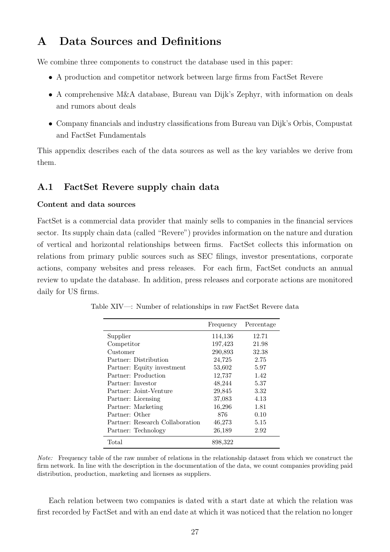# A Data Sources and Definitions

We combine three components to construct the database used in this paper:

- A production and competitor network between large firms from FactSet Revere
- A comprehensive M&A database, Bureau van Dijk's Zephyr, with information on deals and rumors about deals
- Company financials and industry classifications from Bureau van Dijk's Orbis, Compustat and FactSet Fundamentals

This appendix describes each of the data sources as well as the key variables we derive from them.

## A.1 FactSet Revere supply chain data

#### Content and data sources

FactSet is a commercial data provider that mainly sells to companies in the financial services sector. Its supply chain data (called "Revere") provides information on the nature and duration of vertical and horizontal relationships between firms. FactSet collects this information on relations from primary public sources such as SEC filings, investor presentations, corporate actions, company websites and press releases. For each firm, FactSet conducts an annual review to update the database. In addition, press releases and corporate actions are monitored daily for US firms.

|                                 | Frequency | Percentage |
|---------------------------------|-----------|------------|
| Supplier                        | 114,136   | 12.71      |
| Competitor                      | 197,423   | 21.98      |
| Customer                        | 290,893   | 32.38      |
| Partner: Distribution           | 24,725    | 2.75       |
| Partner: Equity investment      | 53,602    | 5.97       |
| Partner: Production             | 12,737    | 1.42       |
| Partner: Investor               | 48,244    | 5.37       |
| Partner: Joint-Venture          | 29,845    | 3.32       |
| Partner: Licensing              | 37,083    | 4.13       |
| Partner: Marketing              | 16,296    | 1.81       |
| Partner: Other                  | 876       | 0.10       |
| Partner: Research Collaboration | 46,273    | 5.15       |
| Partner: Technology             | 26,189    | 2.92       |
| Total                           | 898,322   |            |

Table XIV—: Number of relationships in raw FactSet Revere data

Note: Frequency table of the raw number of relations in the relationship dataset from which we construct the firm network. In line with the description in the documentation of the data, we count companies providing paid distribution, production, marketing and licenses as suppliers.

Each relation between two companies is dated with a start date at which the relation was first recorded by FactSet and with an end date at which it was noticed that the relation no longer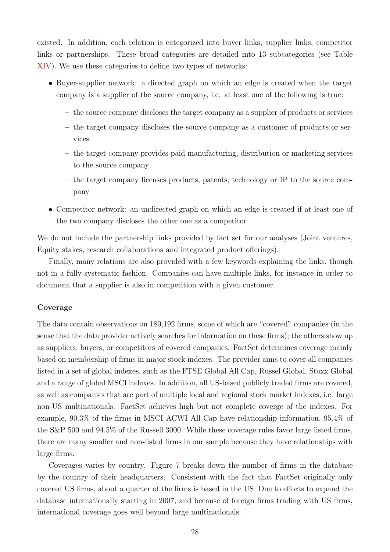existed. In addition, each relation is categorized into buyer links, supplier links, competitor links or partnerships. These broad categories are detailed into 13 subcategories (see Table XIV). We use these categories to define two types of networks:

- Buyer-supplier network: a directed graph on which an edge is created when the target company is a supplier of the source company, i.e. at least one of the following is true:
	- the source company discloses the target company as a supplier of products or services
	- the target company discloses the source company as a customer of products or services
	- the target company provides paid manufacturing, distribution or marketing services to the source company
	- the target company licenses products, patents, technology or IP to the source company
- Competitor network: an undirected graph on which an edge is created if at least one of the two company discloses the other one as a competitor

We do not include the partnership links provided by fact set for our analyses (Joint ventures, Equity stakes, research collaborations and integrated product offerings).

Finally, many relations are also provided with a few keywords explaining the links, though not in a fully systematic fashion. Companies can have multiple links, for instance in order to document that a supplier is also in competition with a given customer.

#### Coverage

The data contain observations on 180,192 firms, some of which are "covered" companies (in the sense that the data provider actively searches for information on these firms); the others show up as suppliers, buyers, or competitors of covered companies. FactSet determines coverage mainly based on membership of firms in major stock indexes. The provider aims to cover all companies listed in a set of global indexes, such as the FTSE Global All Cap, Russel Global, Stoxx Global and a range of global MSCI indexes. In addition, all US-based publicly traded firms are covered, as well as companies that are part of multiple local and regional stock market indexes, i.e. large non-US multinationals. FactSet achieves high but not complete coverge of the indexes. For example, 90.3% of the firms in MSCI ACWI All Cap have relationship information, 95.4% of the S&P 500 and 94.5% of the Russell 3000. While these coverage rules favor large listed firms, there are many smaller and non-listed firms in our sample because they have relationships with large firms.

Coverages varies by country. Figure 7 breaks down the number of firms in the database by the country of their headquarters. Consistent with the fact that FactSet originally only covered US firms, about a quarter of the firms is based in the US. Due to efforts to expand the database internationally starting in 2007, and because of foreign firms trading with US firms, international coverage goes well beyond large multinationals.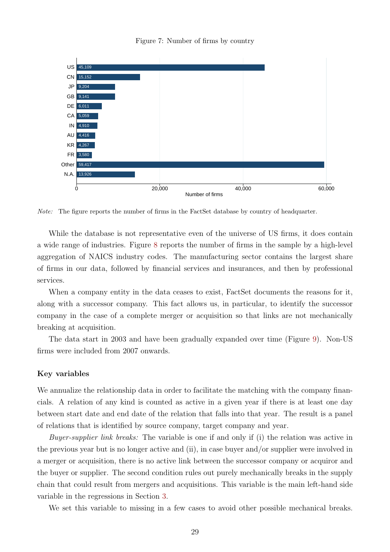Figure 7: Number of firms by country



Note: The figure reports the number of firms in the FactSet database by country of headquarter.

While the database is not representative even of the universe of US firms, it does contain a wide range of industries. Figure 8 reports the number of firms in the sample by a high-level aggregation of NAICS industry codes. The manufacturing sector contains the largest share of firms in our data, followed by financial services and insurances, and then by professional services.

When a company entity in the data ceases to exist, FactSet documents the reasons for it, along with a successor company. This fact allows us, in particular, to identify the successor company in the case of a complete merger or acquisition so that links are not mechanically breaking at acquisition.

The data start in 2003 and have been gradually expanded over time (Figure 9). Non-US firms were included from 2007 onwards.

#### Key variables

We annualize the relationship data in order to facilitate the matching with the company financials. A relation of any kind is counted as active in a given year if there is at least one day between start date and end date of the relation that falls into that year. The result is a panel of relations that is identified by source company, target company and year.

Buyer-supplier link breaks: The variable is one if and only if (i) the relation was active in the previous year but is no longer active and (ii), in case buyer and/or supplier were involved in a merger or acquisition, there is no active link between the successor company or acquiror and the buyer or supplier. The second condition rules out purely mechanically breaks in the supply chain that could result from mergers and acquisitions. This variable is the main left-hand side variable in the regressions in Section 3.

We set this variable to missing in a few cases to avoid other possible mechanical breaks.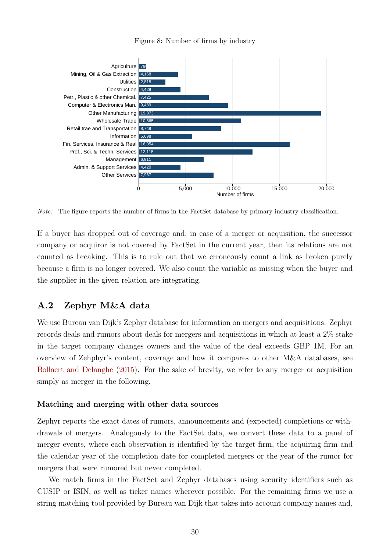



Note: The figure reports the number of firms in the FactSet database by primary industry classification.

If a buyer has dropped out of coverage and, in case of a merger or acquisition, the successor company or acquiror is not covered by FactSet in the current year, then its relations are not counted as breaking. This is to rule out that we erroneously count a link as broken purely because a firm is no longer covered. We also count the variable as missing when the buyer and the supplier in the given relation are integrating.

## A.2 Zephyr M&A data

We use Bureau van Dijk's Zephyr database for information on mergers and acquisitions. Zephyr records deals and rumors about deals for mergers and acquisitions in which at least a 2% stake in the target company changes owners and the value of the deal exceeds GBP 1M. For an overview of Zehphyr's content, coverage and how it compares to other M&A databases, see Bollaert and Delanghe (2015). For the sake of brevity, we refer to any merger or acquisition simply as merger in the following.

#### Matching and merging with other data sources

Zephyr reports the exact dates of rumors, announcements and (expected) completions or withdrawals of mergers. Analogously to the FactSet data, we convert these data to a panel of merger events, where each observation is identified by the target firm, the acquiring firm and the calendar year of the completion date for completed mergers or the year of the rumor for mergers that were rumored but never completed.

We match firms in the FactSet and Zephyr databases using security identifiers such as CUSIP or ISIN, as well as ticker names wherever possible. For the remaining firms we use a string matching tool provided by Bureau van Dijk that takes into account company names and,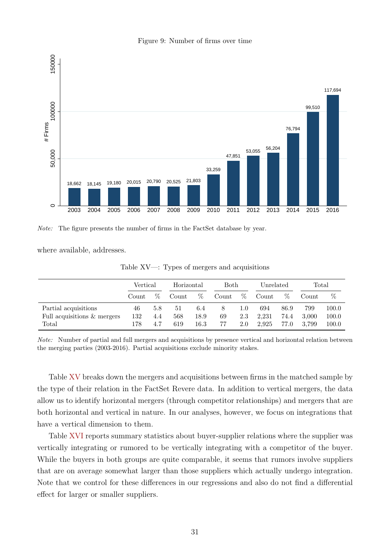



Note: The figure presents the number of firms in the FactSet database by year.

where available, addresses.

|  |  |  | Table $XV -$ : Types of mergers and acquisitions |
|--|--|--|--------------------------------------------------|
|  |  |  |                                                  |

|                             | Vertical |      |       | Horizontal<br>Both |       | Unrelated |       | Total |       |           |
|-----------------------------|----------|------|-------|--------------------|-------|-----------|-------|-------|-------|-----------|
|                             | Count.   | $\%$ | Count | %                  | Count | $\%$      | Count | $\%$  | Count | %         |
| Partial acquisitions        | 46       | 5.8  | 51    | 6.4                | 8     | 1.0       | 694   | 86.9  | 799   | $100.0\,$ |
| Full acquisitions & mergers | 132      | 4.4  | 568   | 18.9               | 69    | 2.3       | 2.231 | 74.4  | 3.000 | 100.0     |
| Total                       | 178      | 4.7  | 619   | $16.3\,$           | 77    | 2.0       | 2.925 | 77.0  | 3.799 | 100.0     |

Note: Number of partial and full mergers and acquisitions by presence vertical and horizontal relation between the merging parties (2003-2016). Partial acquisitions exclude minority stakes.

Table XV breaks down the mergers and acquisitions between firms in the matched sample by the type of their relation in the FactSet Revere data. In addition to vertical mergers, the data allow us to identify horizontal mergers (through competitor relationships) and mergers that are both horizontal and vertical in nature. In our analyses, however, we focus on integrations that have a vertical dimension to them.

Table XVI reports summary statistics about buyer-supplier relations where the supplier was vertically integrating or rumored to be vertically integrating with a competitor of the buyer. While the buyers in both groups are quite comparable, it seems that rumors involve suppliers that are on average somewhat larger than those suppliers which actually undergo integration. Note that we control for these differences in our regressions and also do not find a differential effect for larger or smaller suppliers.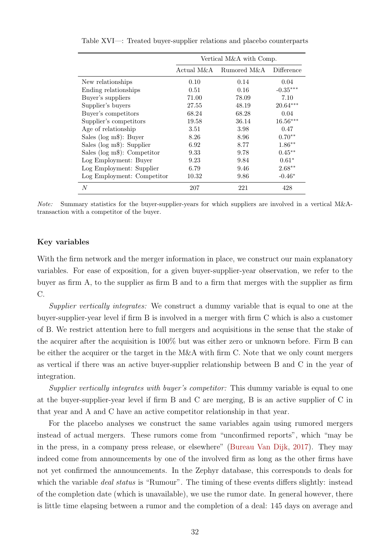|                                 | Vertical M&A with Comp. |             |            |  |  |  |  |
|---------------------------------|-------------------------|-------------|------------|--|--|--|--|
|                                 | Actual M&A              | Rumored M&A | Difference |  |  |  |  |
| New relationships               | 0.10                    | 0.14        | 0.04       |  |  |  |  |
| Ending relationships            | 0.51                    | 0.16        | $-0.35***$ |  |  |  |  |
| Buyer's suppliers               | 71.00                   | 78.09       | 7.10       |  |  |  |  |
| Supplier's buyers               | 27.55                   | 48.19       | $20.64***$ |  |  |  |  |
| Buyer's competitors             | 68.24                   | 68.28       | 0.04       |  |  |  |  |
| Supplier's competitors          | 19.58                   | 36.14       | $16.56***$ |  |  |  |  |
| Age of relationship             | 3.51                    | 3.98        | 0.47       |  |  |  |  |
| Sales ( $log m$ \$): Buyer      | 8.26                    | 8.96        | $0.70**$   |  |  |  |  |
| Sales ( $log m$ \$): Supplier   | 6.92                    | 8.77        | $1.86**$   |  |  |  |  |
| Sales ( $log m$ \$): Competitor | 9.33                    | 9.78        | $0.45**$   |  |  |  |  |
| Log Employment: Buyer           | 9.23                    | 9.84        | $0.61*$    |  |  |  |  |
| Log Employment: Supplier        | 6.79                    | 9.46        | $2.68**$   |  |  |  |  |
| Log Employment: Competitor      | 10.32                   | 9.86        | $-0.46*$   |  |  |  |  |
| N                               | 207                     | 221         | 428        |  |  |  |  |

Table XVI—: Treated buyer-supplier relations and placebo counterparts

Note: Summary statistics for the buyer-supplier-years for which suppliers are involved in a vertical M&Atransaction with a competitor of the buyer.

#### Key variables

With the firm network and the merger information in place, we construct our main explanatory variables. For ease of exposition, for a given buyer-supplier-year observation, we refer to the buyer as firm A, to the supplier as firm B and to a firm that merges with the supplier as firm C.

Supplier vertically integrates: We construct a dummy variable that is equal to one at the buyer-supplier-year level if firm B is involved in a merger with firm C which is also a customer of B. We restrict attention here to full mergers and acquisitions in the sense that the stake of the acquirer after the acquisition is 100% but was either zero or unknown before. Firm B can be either the acquirer or the target in the M&A with firm C. Note that we only count mergers as vertical if there was an active buyer-supplier relationship between B and C in the year of integration.

Supplier vertically integrates with buyer's competitor: This dummy variable is equal to one at the buyer-supplier-year level if firm B and C are merging, B is an active supplier of C in that year and A and C have an active competitor relationship in that year.

For the placebo analyses we construct the same variables again using rumored mergers instead of actual mergers. These rumors come from "unconfirmed reports", which "may be in the press, in a company press release, or elsewhere" (Bureau Van Dijk, 2017). They may indeed come from announcements by one of the involved firm as long as the other firms have not yet confirmed the announcements. In the Zephyr database, this corresponds to deals for which the variable *deal status* is "Rumour". The timing of these events differs slightly: instead of the completion date (which is unavailable), we use the rumor date. In general however, there is little time elapsing between a rumor and the completion of a deal: 145 days on average and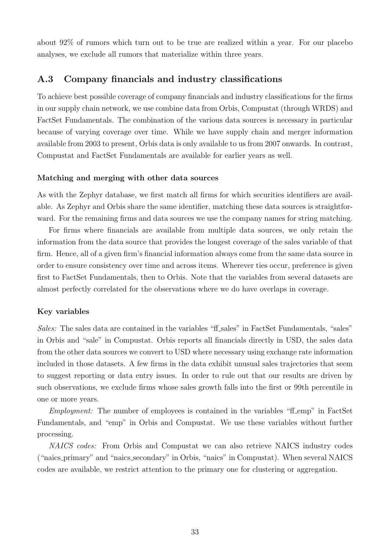about 92% of rumors which turn out to be true are realized within a year. For our placebo analyses, we exclude all rumors that materialize within three years.

## A.3 Company financials and industry classifications

To achieve best possible coverage of company financials and industry classifications for the firms in our supply chain network, we use combine data from Orbis, Compustat (through WRDS) and FactSet Fundamentals. The combination of the various data sources is necessary in particular because of varying coverage over time. While we have supply chain and merger information available from 2003 to present, Orbis data is only available to us from 2007 onwards. In contrast, Compustat and FactSet Fundamentals are available for earlier years as well.

#### Matching and merging with other data sources

As with the Zephyr database, we first match all firms for which securities identifiers are available. As Zephyr and Orbis share the same identifier, matching these data sources is straightforward. For the remaining firms and data sources we use the company names for string matching.

For firms where financials are available from multiple data sources, we only retain the information from the data source that provides the longest coverage of the sales variable of that firm. Hence, all of a given firm's financial information always come from the same data source in order to ensure consistency over time and across items. Wherever ties occur, preference is given first to FactSet Fundamentals, then to Orbis. Note that the variables from several datasets are almost perfectly correlated for the observations where we do have overlaps in coverage.

#### Key variables

Sales: The sales data are contained in the variables "ff sales" in FactSet Fundamentals, "sales" in Orbis and "sale" in Compustat. Orbis reports all financials directly in USD, the sales data from the other data sources we convert to USD where necessary using exchange rate information included in those datasets. A few firms in the data exhibit unusual sales trajectories that seem to suggest reporting or data entry issues. In order to rule out that our results are driven by such observations, we exclude firms whose sales growth falls into the first or 99th percentile in one or more years.

Employment: The number of employees is contained in the variables "ff emp" in FactSet Fundamentals, and "emp" in Orbis and Compustat. We use these variables without further processing.

NAICS codes: From Orbis and Compustat we can also retrieve NAICS industry codes ("naics primary" and "naics secondary" in Orbis, "naics" in Compustat). When several NAICS codes are available, we restrict attention to the primary one for clustering or aggregation.